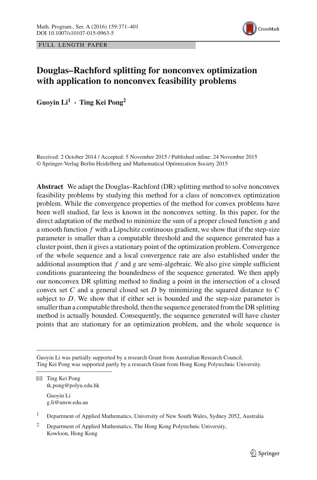



# **Douglas–Rachford splitting for nonconvex optimization with application to nonconvex feasibility problems**

**Guoyin Li<sup>1</sup> · Ting Kei Pong2**

Received: 2 October 2014 / Accepted: 5 November 2015 / Published online: 24 November 2015 © Springer-Verlag Berlin Heidelberg and Mathematical Optimization Society 2015

**Abstract** We adapt the Douglas–Rachford (DR) splitting method to solve nonconvex feasibility problems by studying this method for a class of nonconvex optimization problem. While the convergence properties of the method for convex problems have been well studied, far less is known in the nonconvex setting. In this paper, for the direct adaptation of the method to minimize the sum of a proper closed function *g* and a smooth function *f* with a Lipschitz continuous gradient, we show that if the step-size parameter is smaller than a computable threshold and the sequence generated has a cluster point, then it gives a stationary point of the optimization problem. Convergence of the whole sequence and a local convergence rate are also established under the additional assumption that  $f$  and  $g$  are semi-algebraic. We also give simple sufficient conditions guaranteeing the boundedness of the sequence generated. We then apply our nonconvex DR splitting method to finding a point in the intersection of a closed convex set *C* and a general closed set *D* by minimizing the squared distance to *C* subject to  $D$ . We show that if either set is bounded and the step-size parameter is smaller than a computable threshold, then the sequence generated from the DR splitting method is actually bounded. Consequently, the sequence generated will have cluster points that are stationary for an optimization problem, and the whole sequence is

Guoyin Li was partially supported by a research Grant from Australian Research Council. Ting Kei Pong was supported partly by a research Grant from Hong Kong Polytechnic University.

B Ting Kei Pong tk.pong@polyu.edu.hk Guoyin Li g.li@unsw.edu.au

<sup>1</sup> Department of Applied Mathematics, University of New South Wales, Sydney 2052, Australia

<sup>&</sup>lt;sup>2</sup> Department of Applied Mathematics, The Hong Kong Polytechnic University, Kowloon, Hong Kong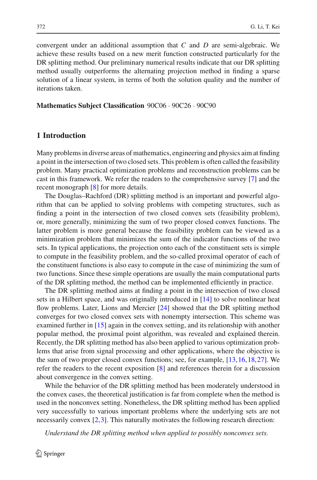convergent under an additional assumption that *C* and *D* are semi-algebraic. We achieve these results based on a new merit function constructed particularly for the DR splitting method. Our preliminary numerical results indicate that our DR splitting method usually outperforms the alternating projection method in finding a sparse solution of a linear system, in terms of both the solution quality and the number of iterations taken.

**Mathematics Subject Classification** 90C06 · 90C26 · 90C90

## **1 Introduction**

Many problems in diverse areas of mathematics, engineering and physics aim at finding a point in the intersection of two closed sets. This problem is often called the feasibility problem. Many practical optimization problems and reconstruction problems can be cast in this framework. We refer the readers to the comprehensive survey [\[7\]](#page-29-0) and the recent monograph [\[8\]](#page-29-1) for more details.

The Douglas–Rachford (DR) splitting method is an important and powerful algorithm that can be applied to solving problems with competing structures, such as finding a point in the intersection of two closed convex sets (feasibility problem), or, more generally, minimizing the sum of two proper closed convex functions. The latter problem is more general because the feasibility problem can be viewed as a minimization problem that minimizes the sum of the indicator functions of the two sets. In typical applications, the projection onto each of the constituent sets is simple to compute in the feasibility problem, and the so-called proximal operator of each of the constituent functions is also easy to compute in the case of minimizing the sum of two functions. Since these simple operations are usually the main computational parts of the DR splitting method, the method can be implemented efficiently in practice.

The DR splitting method aims at finding a point in the intersection of two closed sets in a Hilbert space, and was originally introduced in [\[14\]](#page-29-2) to solve nonlinear heat flow problems. Later, Lions and Mercier [\[24\]](#page-29-3) showed that the DR splitting method converges for two closed convex sets with nonempty intersection. This scheme was examined further in [\[15](#page-29-4)] again in the convex setting, and its relationship with another popular method, the proximal point algorithm, was revealed and explained therein. Recently, the DR splitting method has also been applied to various optimization problems that arise from signal processing and other applications, where the objective is the sum of two proper closed convex functions; see, for example, [\[13](#page-29-5)[,16](#page-29-6)[,18](#page-29-7),[27\]](#page-30-0). We refer the readers to the recent exposition [\[8\]](#page-29-1) and references therein for a discussion about convergence in the convex setting.

While the behavior of the DR splitting method has been moderately understood in the convex cases, the theoretical justification is far from complete when the method is used in the nonconvex setting. Nonetheless, the DR splitting method has been applied very successfully to various important problems where the underlying sets are not necessarily convex [\[2](#page-29-8),[3\]](#page-29-9). This naturally motivates the following research direction:

*Understand the DR splitting method when applied to possibly nonconvex sets.*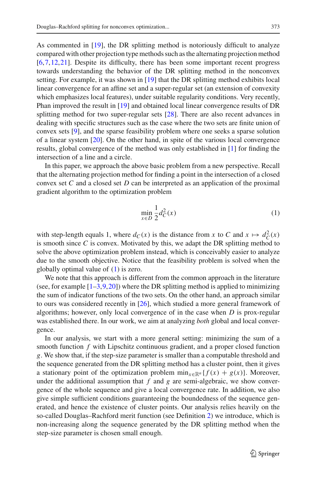As commented in [\[19](#page-29-10)], the DR splitting method is notoriously difficult to analyze compared with other projection type methods such as the alternating projection method [\[6](#page-29-11)[,7](#page-29-0),[12,](#page-29-12)[21\]](#page-29-13). Despite its difficulty, there has been some important recent progress towards understanding the behavior of the DR splitting method in the nonconvex setting. For example, it was shown in [\[19\]](#page-29-10) that the DR splitting method exhibits local linear convergence for an affine set and a super-regular set (an extension of convexity which emphasizes local features), under suitable regularity conditions. Very recently, Phan improved the result in [\[19](#page-29-10)] and obtained local linear convergence results of DR splitting method for two super-regular sets [\[28\]](#page-30-1). There are also recent advances in dealing with specific structures such as the case where the two sets are finite union of convex sets [\[9](#page-29-14)], and the sparse feasibility problem where one seeks a sparse solution of a linear system [\[20\]](#page-29-15). On the other hand, in spite of the various local convergence results, global convergence of the method was only established in [\[1\]](#page-29-16) for finding the intersection of a line and a circle.

In this paper, we approach the above basic problem from a new perspective. Recall that the alternating projection method for finding a point in the intersection of a closed convex set *C* and a closed set *D* can be interpreted as an application of the proximal gradient algorithm to the optimization problem

<span id="page-2-0"></span>
$$
\min_{x \in D} \frac{1}{2} d_C^2(x) \tag{1}
$$

with step-length equals 1, where  $d_C(x)$  is the distance from *x* to *C* and  $x \mapsto d_C^2(x)$ is smooth since *C* is convex. Motivated by this, we adapt the DR splitting method to solve the above optimization problem instead, which is conceivably easier to analyze due to the smooth objective. Notice that the feasibility problem is solved when the globally optimal value of [\(1\)](#page-2-0) is zero.

We note that this approach is different from the common approach in the literature (see, for example  $[1-3,9,20]$  $[1-3,9,20]$  $[1-3,9,20]$  $[1-3,9,20]$  $[1-3,9,20]$ ) where the DR splitting method is applied to minimizing the sum of indicator functions of the two sets. On the other hand, an approach similar to ours was considered recently in [\[26\]](#page-29-17), which studied a more general framework of algorithms; however, only local convergence of in the case when *D* is prox-regular was established there. In our work, we aim at analyzing *both* global and local convergence.

In our analysis, we start with a more general setting: minimizing the sum of a smooth function *f* with Lipschitz continuous gradient, and a proper closed function *g*. We show that, if the step-size parameter is smaller than a computable threshold and the sequence generated from the DR splitting method has a cluster point, then it gives a stationary point of the optimization problem  $\min_{x \in \mathbb{R}^n} \{f(x) + g(x)\}\)$ . Moreover, under the additional assumption that  $f$  and  $g$  are semi-algebraic, we show convergence of the whole sequence and give a local convergence rate. In addition, we also give simple sufficient conditions guaranteeing the boundedness of the sequence generated, and hence the existence of cluster points. Our analysis relies heavily on the so-called Douglas–Rachford merit function (see Definition [2\)](#page-6-0) we introduce, which is non-increasing along the sequence generated by the DR splitting method when the step-size parameter is chosen small enough.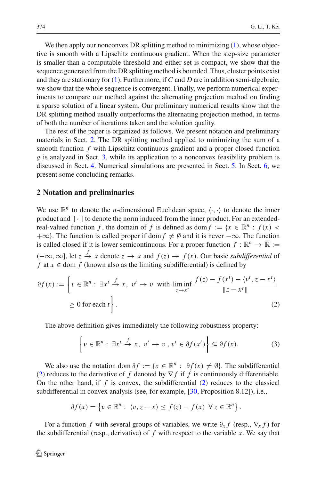We then apply our nonconvex DR splitting method to minimizing [\(1\)](#page-2-0), whose objective is smooth with a Lipschitz continuous gradient. When the step-size parameter is smaller than a computable threshold and either set is compact, we show that the sequence generated from the DR splitting method is bounded. Thus, cluster points exist and they are stationary for [\(1\)](#page-2-0). Furthermore, if *C* and *D* are in addition semi-algebraic, we show that the whole sequence is convergent. Finally, we perform numerical experiments to compare our method against the alternating projection method on finding a sparse solution of a linear system. Our preliminary numerical results show that the DR splitting method usually outperforms the alternating projection method, in terms of both the number of iterations taken and the solution quality.

The rest of the paper is organized as follows. We present notation and preliminary materials in Sect. [2.](#page-3-0) The DR splitting method applied to minimizing the sum of a smooth function *f* with Lipschitz continuous gradient and a proper closed function *g* is analyzed in Sect. [3,](#page-5-0) while its application to a nonconvex feasibility problem is discussed in Sect. [4.](#page-17-0) Numerical simulations are presented in Sect. [5.](#page-26-0) In Sect. [6,](#page-28-0) we present some concluding remarks.

#### <span id="page-3-0"></span>**2 Notation and preliminaries**

We use  $\mathbb{R}^n$  to denote the *n*-dimensional Euclidean space,  $\langle \cdot, \cdot \rangle$  to denote the inner product and  $\|\cdot\|$  to denote the norm induced from the inner product. For an extendedreal-valued function *f*, the domain of *f* is defined as dom  $f := \{x \in \mathbb{R}^n : f(x)$  $+\infty$ }. The function is called proper if dom  $f \neq \emptyset$  and it is never  $-\infty$ . The function is called closed if it is lower semicontinuous. For a proper function  $f : \mathbb{R}^n \to \overline{\mathbb{R}} :=$  $(-\infty, \infty]$ , let  $z \stackrel{f}{\to} x$  denote  $z \to x$  and  $f(z) \to f(x)$ . Our basic *subdifferential* of *f* at  $x \in$  dom *f* (known also as the limiting subdifferential) is defined by

<span id="page-3-1"></span>
$$
\partial f(x) := \left\{ v \in \mathbb{R}^n : \exists x^t \stackrel{f}{\to} x, \ v^t \to v \text{ with } \liminf_{z \to x^t} \frac{f(z) - f(x^t) - \langle v^t, z - x^t \rangle}{\|z - x^t\|} \right\}
$$
  
\n
$$
\geq 0 \text{ for each } t \right\}.
$$
 (2)

The above definition gives immediately the following robustness property:

$$
\left\{ v \in \mathbb{R}^n : \exists x^t \stackrel{f}{\to} x, \ v^t \to v \ , v^t \in \partial f(x^t) \right\} \subseteq \partial f(x). \tag{3}
$$

<span id="page-3-2"></span>We also use the notation dom  $\partial f := \{x \in \mathbb{R}^n : \partial f(x) \neq \emptyset\}$ . The subdifferential [\(2\)](#page-3-1) reduces to the derivative of  $f$  denoted by  $\nabla f$  if  $f$  is continuously differentiable. On the other hand, if *f* is convex, the subdifferential [\(2\)](#page-3-1) reduces to the classical subdifferential in convex analysis (see, for example, [\[30](#page-30-2), Proposition 8.12]), i.e.,

$$
\partial f(x) = \left\{ v \in \mathbb{R}^n : \langle v, z - x \rangle \le f(z) - f(x) \ \forall z \in \mathbb{R}^n \right\}.
$$

For a function *f* with several groups of variables, we write  $\partial_x f$  (resp.,  $\nabla_x f$ ) for the subdifferential (resp., derivative) of *f* with respect to the variable *x*. We say that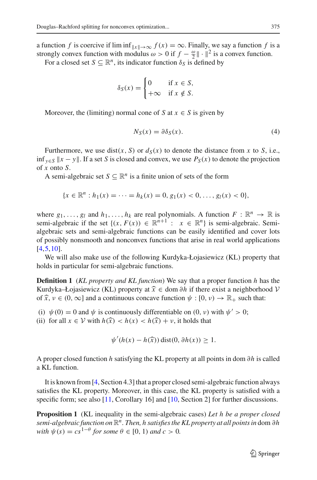a function *f* is coercive if  $\liminf_{\|x\| \to \infty} f(x) = \infty$ . Finally, we say a function *f* is a strongly convex function with modulus  $\omega > 0$  if  $f - \frac{\omega}{2} || \cdot ||^2$  is a convex function.

For a closed set  $S \subseteq \mathbb{R}^n$ , its indicator function  $\delta_S$  is defined by

$$
\delta_S(x) = \begin{cases} 0 & \text{if } x \in S, \\ +\infty & \text{if } x \notin S. \end{cases}
$$

<span id="page-4-2"></span>Moreover, the (limiting) normal cone of *S* at  $x \in S$  is given by

$$
N_S(x) = \partial \delta_S(x). \tag{4}
$$

Furthermore, we use dist(*x*, *S*) or  $d_S(x)$  to denote the distance from *x* to *S*, i.e., inf  $y ∈ S$   $||x - y||$ . If a set *S* is closed and convex, we use  $P_S(x)$  to denote the projection of *x* onto *S*.

A semi-algebraic set  $S \subseteq \mathbb{R}^n$  is a finite union of sets of the form

$$
\{x \in \mathbb{R}^n : h_1(x) = \cdots = h_k(x) = 0, g_1(x) < 0, \ldots, g_l(x) < 0\},\
$$

where  $g_1, \ldots, g_l$  and  $h_1, \ldots, h_k$  are real polynomials. A function  $F : \mathbb{R}^n \to \mathbb{R}$  is semi-algebraic if the set  $\{(x, F(x)) \in \mathbb{R}^{n+1} : x \in \mathbb{R}^n\}$  is semi-algebraic. Semialgebraic sets and semi-algebraic functions can be easily identified and cover lots of possibly nonsmooth and nonconvex functions that arise in real world applications [\[4](#page-29-18)[,5](#page-29-19),[10\]](#page-29-20).

We will also make use of the following Kurdyka-Łojasiewicz (KL) property that holds in particular for semi-algebraic functions.

**Definition 1** (*KL property and KL function*) We say that a proper function *h* has the Kurdyka–Łojasiewicz (KL) property at *<sup>x</sup>* <sup>∈</sup> dom <sup>∂</sup>*<sup>h</sup>* if there exist a neighborhood *<sup>V</sup>* of  $\hat{x}$ ,  $\nu \in (0, \infty]$  and a continuous concave function  $\psi : [0, \nu) \to \mathbb{R}_+$  such that:

- (i)  $\psi(0) = 0$  and  $\psi$  is continuously differentiable on  $(0, \nu)$  with  $\psi' > 0$ ;
- (ii) for all  $x \in V$  with  $h(\hat{x}) < h(x) < h(\hat{x}) + v$ , it holds that

<span id="page-4-1"></span><span id="page-4-0"></span>
$$
\psi'(h(x) - h(\widehat{x})) \operatorname{dist}(0, \partial h(x)) \ge 1.
$$

A proper closed function *h* satisfying the KL property at all points in dom ∂*h* is called a KL function.

It is known from [\[4,](#page-29-18) Section 4.3] that a proper closed semi-algebraic function always satisfies the KL property. Moreover, in this case, the KL property is satisfied with a specific form; see also [\[11](#page-29-21), Corollary 16] and [\[10](#page-29-20), Section 2] for further discussions.

**Proposition 1** (KL inequality in the semi-algebraic cases) *Let h be a proper closed semi-algebraic function on* R*n. Then, h satisfies the KL property at all points in* dom ∂*h with*  $\psi(s) = cs^{1-\theta}$  *for some*  $\theta \in [0, 1)$  *and*  $c > 0$ *.*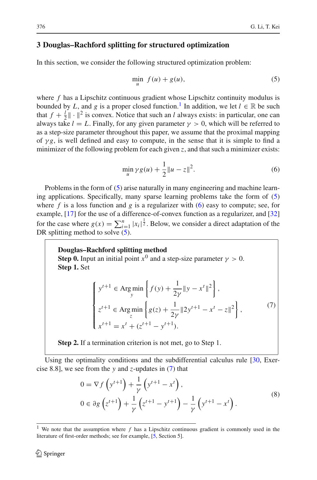### <span id="page-5-0"></span>**3 Douglas–Rachford splitting for structured optimization**

<span id="page-5-2"></span>In this section, we consider the following structured optimization problem:

$$
\min_{u} f(u) + g(u),\tag{5}
$$

where *f* has a Lipschitz continuous gradient whose Lipschitz continuity modulus is bounded by *L*, and *g* is a proper closed function.<sup>[1](#page-5-1)</sup> In addition, we let  $l \in \mathbb{R}$  be such that  $f + \frac{l}{2} \|\cdot\|^2$  is convex. Notice that such an *l* always exists: in particular, one can always take  $l = L$ . Finally, for any given parameter  $\gamma > 0$ , which will be referred to as a step-size parameter throughout this paper, we assume that the proximal mapping of  $\gamma g$ , is well defined and easy to compute, in the sense that it is simple to find a minimizer of the following problem for each given  $z$ , and that such a minimizer exists:

$$
\min_{u} \gamma g(u) + \frac{1}{2} \|u - z\|^2.
$$
 (6)

<span id="page-5-3"></span>Problems in the form of [\(5\)](#page-5-2) arise naturally in many engineering and machine learning applications. Specifically, many sparse learning problems take the form of [\(5\)](#page-5-2) where  $f$  is a loss function and  $g$  is a regularizer with [\(6\)](#page-5-3) easy to compute; see, for example, [\[17](#page-29-22)] for the use of a difference-of-convex function as a regularizer, and [\[32\]](#page-30-3) for the case where  $g(x) = \sum_{i=1}^{n} |x_i|^{\frac{1}{2}}$ . Below, we consider a direct adaptation of the DR splitting method to solve  $(5)$ .

#### **Douglas–Rachford splitting method**

**Step 0.** Input an initial point  $x^0$  and a step-size parameter  $\gamma > 0$ . **Step 1.** Set

$$
\begin{cases}\ny^{t+1} \in \operatorname{Arg\,min}_{y} \left\{ f(y) + \frac{1}{2\gamma} \|y - x^t\|^2 \right\}, \\
z^{t+1} \in \operatorname{Arg\,min}_{z} \left\{ g(z) + \frac{1}{2\gamma} \|2y^{t+1} - x^t - z\|^2 \right\}, \\
x^{t+1} = x^t + (z^{t+1} - y^{t+1}).\n\end{cases} (7)
$$

<span id="page-5-4"></span>**Step 2.** If a termination criterion is not met, go to Step 1.

<span id="page-5-5"></span>Using the optimality conditions and the subdifferential calculus rule [\[30](#page-30-2), Exercise 8.8], we see from the *y* and *z*-updates in [\(7\)](#page-5-4) that

$$
0 = \nabla f\left(y^{t+1}\right) + \frac{1}{\gamma} \left(y^{t+1} - x^t\right),
$$
  
\n
$$
0 \in \partial g\left(z^{t+1}\right) + \frac{1}{\gamma} \left(z^{t+1} - y^{t+1}\right) - \frac{1}{\gamma} \left(y^{t+1} - x^t\right).
$$
\n(8)

<span id="page-5-1"></span><sup>1</sup> We note that the assumption where *f* has a Lipschitz continuous gradient is commonly used in the literature of first-order methods; see for example, [\[5](#page-29-19), Section 5].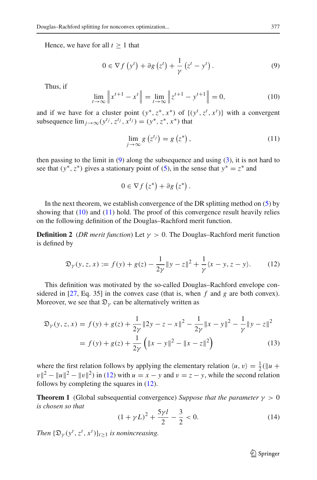<span id="page-6-1"></span>Hence, we have for all  $t \geq 1$  that

$$
0 \in \nabla f\left(y^t\right) + \partial g\left(z^t\right) + \frac{1}{\gamma} \left(z^t - y^t\right). \tag{9}
$$

<span id="page-6-2"></span>Thus, if

$$
\lim_{t \to \infty} \left\| x^{t+1} - x^t \right\| = \lim_{t \to \infty} \left\| z^{t+1} - y^{t+1} \right\| = 0,\tag{10}
$$

and if we have for a cluster point  $(y^*, z^*, x^*)$  of  $\{(y^t, z^t, x^t)\}$  with a convergent subsequence  $\lim_{i\to\infty} (y^{t_j}, z^{t_j}, x^{t_j}) = (y^*, z^*, x^*)$  that

$$
\lim_{j \to \infty} g\left(z^{t_j}\right) = g\left(z^*\right),\tag{11}
$$

<span id="page-6-3"></span>then passing to the limit in  $(9)$  along the subsequence and using  $(3)$ , it is not hard to see that  $(y^*, z^*)$  gives a stationary point of [\(5\)](#page-5-2), in the sense that  $y^* = z^*$  and

<span id="page-6-0"></span>
$$
0 \in \nabla f\left(z^*\right) + \partial g\left(z^*\right).
$$

In the next theorem, we establish convergence of the DR splitting method on  $(5)$  by showing that  $(10)$  and  $(11)$  hold. The proof of this convergence result heavily relies on the following definition of the Douglas–Rachford merit function.

**Definition 2** (*DR merit function*) Let  $\gamma > 0$ . The Douglas–Rachford merit function is defined by

$$
\mathfrak{D}_{\gamma}(y, z, x) := f(y) + g(z) - \frac{1}{2\gamma} \|y - z\|^2 + \frac{1}{\gamma} \langle x - y, z - y \rangle.
$$
 (12)

<span id="page-6-4"></span>This definition was motivated by the so-called Douglas–Rachford envelope considered in  $[27, Eq. 35]$  $[27, Eq. 35]$  in the convex case (that is, when  $f$  and  $g$  are both convex). Moreover, we see that  $\mathfrak{D}_{\nu}$  can be alternatively written as

<span id="page-6-7"></span>
$$
\mathfrak{D}_{\gamma}(y, z, x) = f(y) + g(z) + \frac{1}{2\gamma} \|2y - z - x\|^2 - \frac{1}{2\gamma} \|x - y\|^2 - \frac{1}{\gamma} \|y - z\|^2
$$

$$
= f(y) + g(z) + \frac{1}{2\gamma} \left( \|x - y\|^2 - \|x - z\|^2 \right) \tag{13}
$$

where the first relation follows by applying the elementary relation  $\langle u, v \rangle = \frac{1}{2} (\|u\| + \alpha^2)$  $v\|^2 - ||u||^2 - ||v||^2$ ) in [\(12\)](#page-6-4) with  $u = x - y$  and  $v = z - y$ , while the second relation follows by completing the squares in [\(12\)](#page-6-4).

**Theorem 1** (Global subsequential convergence) *Suppose that the parameter*  $\gamma > 0$ *is chosen so that*

<span id="page-6-6"></span>
$$
(1 + \gamma L)^2 + \frac{5\gamma l}{2} - \frac{3}{2} < 0. \tag{14}
$$

<span id="page-6-5"></span>*Then*  $\{\mathfrak{D}_{\gamma}(y^t, z^t, x^t)\}_{t\geq 1}$  *is nonincreasing.* 

 $\mathcal{D}$  Springer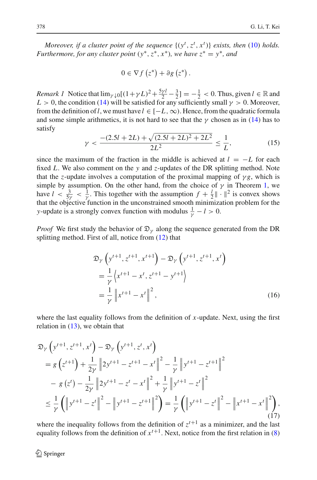*Moreover, if a cluster point of the sequence*  $\{(y^t, z^t, x^t)\}$  *exists, then* [\(10\)](#page-6-2) *holds. Furthermore, for any cluster point*  $(y^*, z^*, x^*)$ *, we have*  $z^* = y^*$ *, and* 

$$
0 \in \nabla f\left(z^*\right) + \partial g\left(z^*\right).
$$

*Remark 1* Notice that  $\lim_{\gamma \downarrow 0} [(1 + \gamma L)^2 + \frac{5\gamma l}{2} - \frac{3}{2}] = -\frac{1}{2} < 0$ . Thus, given  $l \in \mathbb{R}$  and  $L > 0$ , the condition [\(14\)](#page-6-5) will be satisfied for any sufficiently small  $\gamma > 0$ . Moreover, from the definition of *l*, we must have  $l \in [-L, \infty)$ . Hence, from the quadratic formula and some simple arithmetics, it is not hard to see that the  $\gamma$  chosen as in [\(14\)](#page-6-5) has to satisfy

$$
\gamma < \frac{-(2.5l + 2L) + \sqrt{(2.5l + 2L)^2 + 2L^2}}{2L^2} \le \frac{1}{L},\tag{15}
$$

<span id="page-7-2"></span>since the maximum of the fraction in the middle is achieved at  $l = -L$  for each fixed *L*. We also comment on the *y* and *z*-updates of the DR splitting method. Note that the *z*-update involves a computation of the proximal mapping of  $\gamma g$ , which is simple by assumption. On the other hand, from the choice of  $\gamma$  in Theorem [1,](#page-6-6) we have  $l < \frac{3}{5\gamma} < \frac{1}{\gamma}$ . This together with the assumption  $f + \frac{l}{2} || \cdot ||^2$  is convex shows that the objective function in the unconstrained smooth minimization problem for the *y*-update is a strongly convex function with modulus  $\frac{1}{\gamma} - l > 0$ .

<span id="page-7-1"></span>*Proof* We first study the behavior of  $\mathfrak{D}_{\gamma}$  along the sequence generated from the DR splitting method. First of all, notice from [\(12\)](#page-6-4) that

$$
\mathfrak{D}_{\gamma}\left(y^{t+1}, z^{t+1}, x^{t+1}\right) - \mathfrak{D}_{\gamma}\left(y^{t+1}, z^{t+1}, x^{t}\right)
$$
\n
$$
= \frac{1}{\gamma}\left\langle x^{t+1} - x^{t}, z^{t+1} - y^{t+1}\right\rangle
$$
\n
$$
= \frac{1}{\gamma}\left\|x^{t+1} - x^{t}\right\|^{2},
$$
\n(16)

where the last equality follows from the definition of *x*-update. Next, using the first relation in  $(13)$ , we obtain that

<span id="page-7-0"></span>
$$
\mathfrak{D}_{\gamma}\left(y^{t+1}, z^{t+1}, x^{t}\right) - \mathfrak{D}_{\gamma}\left(y^{t+1}, z^{t}, x^{t}\right)
$$
\n
$$
= g\left(z^{t+1}\right) + \frac{1}{2\gamma} \left\|2y^{t+1} - z^{t+1} - x^{t}\right\|^{2} - \frac{1}{\gamma} \left\|y^{t+1} - z^{t+1}\right\|^{2}
$$
\n
$$
- g\left(z^{t}\right) - \frac{1}{2\gamma} \left\|2y^{t+1} - z^{t} - x^{t}\right\|^{2} + \frac{1}{\gamma} \left\|y^{t+1} - z^{t}\right\|^{2}
$$
\n
$$
\leq \frac{1}{\gamma} \left(\left\|y^{t+1} - z^{t}\right\|^{2} - \left\|y^{t+1} - z^{t+1}\right\|^{2}\right) = \frac{1}{\gamma} \left(\left\|y^{t+1} - z^{t}\right\|^{2} - \left\|x^{t+1} - x^{t}\right\|^{2}\right),\tag{17}
$$

where the inequality follows from the definition of  $z^{t+1}$  as a minimizer, and the last equality follows from the definition of  $x^{t+1}$ . Next, notice from the first relation in [\(8\)](#page-5-5)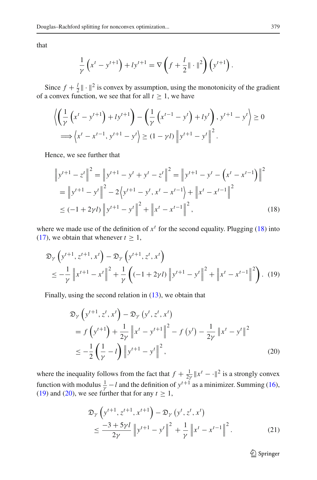that

$$
\frac{1}{\gamma} \left( x^t - y^{t+1} \right) + l y^{t+1} = \nabla \left( f + \frac{l}{2} || \cdot ||^2 \right) \left( y^{t+1} \right).
$$

Since  $f + \frac{l}{2} \|\cdot\|^2$  is convex by assumption, using the monotonicity of the gradient of a convex function, we see that for all  $t \ge 1$ , we have

$$
\left\langle \left( \frac{1}{\gamma} \left( x^t - y^{t+1} \right) + l y^{t+1} \right) - \left( \frac{1}{\gamma} \left( x^{t-1} - y^t \right) + l y^t \right), y^{t+1} - y^t \right\rangle \ge 0
$$
  

$$
\implies \left\langle x^t - x^{t-1}, y^{t+1} - y^t \right\rangle \ge (1 - \gamma t) \left\| y^{t+1} - y^t \right\|^2.
$$

<span id="page-8-0"></span>Hence, we see further that

$$
\|y^{t+1} - z^t\|^2 = \|y^{t+1} - y^t + y^t - z^t\|^2 = \|y^{t+1} - y^t - (x^t - x^{t-1})\|^2
$$
  
= 
$$
\|y^{t+1} - y^t\|^2 - 2\langle y^{t+1} - y^t, x^t - x^{t-1}\rangle + \|x^t - x^{t-1}\|^2
$$
  

$$
\le (-1 + 2\gamma t) \|y^{t+1} - y^t\|^2 + \|x^t - x^{t-1}\|^2,
$$
 (18)

<span id="page-8-1"></span>where we made use of the definition of  $x<sup>t</sup>$  for the second equality. Plugging [\(18\)](#page-8-0) into [\(17\)](#page-7-0), we obtain that whenever  $t \geq 1$ ,

$$
\mathfrak{D}_{\gamma}\left(y^{t+1}, z^{t+1}, x^{t}\right) - \mathfrak{D}_{\gamma}\left(y^{t+1}, z^{t}, x^{t}\right) \n\leq -\frac{1}{\gamma} \left\|x^{t+1} - x^{t}\right\|^{2} + \frac{1}{\gamma} \left((-1 + 2\gamma t) \left\|y^{t+1} - y^{t}\right\|^{2} + \left\|x^{t} - x^{t-1}\right\|^{2}\right). (19)
$$

<span id="page-8-2"></span>Finally, using the second relation in [\(13\)](#page-6-7), we obtain that

$$
\mathfrak{D}_{\gamma}\left(y^{t+1}, z^{t}, x^{t}\right) - \mathfrak{D}_{\gamma}\left(y^{t}, z^{t}, x^{t}\right)
$$
\n
$$
= f\left(y^{t+1}\right) + \frac{1}{2\gamma} \left\|x^{t} - y^{t+1}\right\|^{2} - f\left(y^{t}\right) - \frac{1}{2\gamma} \left\|x^{t} - y^{t}\right\|^{2}
$$
\n
$$
\leq -\frac{1}{2} \left(\frac{1}{\gamma} - l\right) \left\|y^{t+1} - y^{t}\right\|^{2},\tag{20}
$$

where the inequality follows from the fact that  $f + \frac{1}{2\gamma} ||x^t - \cdot||^2$  is a strongly convex function with modulus  $\frac{1}{\gamma} - l$  and the definition of  $y^{t+1}$  as a minimizer. Summing [\(16\)](#page-7-1), [\(19\)](#page-8-1) and [\(20\)](#page-8-2), we see further that for any  $t \ge 1$ ,

$$
\mathfrak{D}_{\gamma} \left( y^{t+1}, z^{t+1}, x^{t+1} \right) - \mathfrak{D}_{\gamma} \left( y^{t}, z^{t}, x^{t} \right) \n\leq \frac{-3 + 5\gamma l}{2\gamma} \left\| y^{t+1} - y^{t} \right\|^{2} + \frac{1}{\gamma} \left\| x^{t} - x^{t-1} \right\|^{2}.
$$
\n(21)

<sup>2</sup> Springer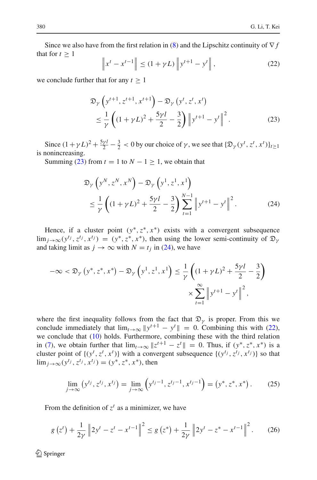<span id="page-9-2"></span>Since we also have from the first relation in [\(8\)](#page-5-5) and the Lipschitz continuity of ∇ *f* that for  $t > 1$ 

$$
\|x^{t} - x^{t-1}\| \le (1 + \gamma L) \|y^{t+1} - y^{t}\|,
$$
\n(22)

<span id="page-9-0"></span>we conclude further that for any  $t \geq 1$ 

$$
\mathfrak{D}_{\gamma} \left( y^{t+1}, z^{t+1}, x^{t+1} \right) - \mathfrak{D}_{\gamma} \left( y^{t}, z^{t}, x^{t} \right) \n\leq \frac{1}{\gamma} \left( (1 + \gamma L)^{2} + \frac{5\gamma l}{2} - \frac{3}{2} \right) \left\| y^{t+1} - y^{t} \right\|^{2}.
$$
\n(23)

Since  $(1 + \gamma L)^2 + \frac{5\gamma l}{2} - \frac{3}{2} < 0$  by our choice of  $\gamma$ , we see that  $\{\mathfrak{D}_{\gamma}(y^t, z^t, x^t)\}_{t \ge 1}$ is nonincreasing.

<span id="page-9-1"></span>Summing [\(23\)](#page-9-0) from  $t = 1$  to  $N - 1 \ge 1$ , we obtain that

$$
\mathfrak{D}_{\gamma}\left(y^{N}, z^{N}, x^{N}\right) - \mathfrak{D}_{\gamma}\left(y^{1}, z^{1}, x^{1}\right) \n\leq \frac{1}{\gamma}\left((1 + \gamma L)^{2} + \frac{5\gamma l}{2} - \frac{3}{2}\right)\sum_{t=1}^{N-1} \left\|y^{t+1} - y^{t}\right\|^{2}.
$$
\n(24)

Hence, if a cluster point  $(y^*, z^*, x^*)$  exists with a convergent subsequence  $\lim_{i\to\infty} (y^{t_j}, z^{t_j}, x^{t_j}) = (y^*, z^*, x^*)$ , then using the lower semi-continuity of  $\mathfrak{D}_{\nu}$ and taking limit as  $j \to \infty$  with  $N = t_j$  in [\(24\)](#page-9-1), we have

$$
-\infty < \mathfrak{D}_{\gamma} \left( y^*, z^*, x^* \right) - \mathfrak{D}_{\gamma} \left( y^1, z^1, x^1 \right) \leq \frac{1}{\gamma} \left( (1 + \gamma L)^2 + \frac{5\gamma l}{2} - \frac{3}{2} \right)
$$

$$
\times \sum_{t=1}^{\infty} \left\| y^{t+1} - y^t \right\|^2,
$$

where the first inequality follows from the fact that  $\mathfrak{D}_{\gamma}$  is proper. From this we conclude immediately that  $\lim_{t\to\infty} ||y^{t+1} - y^t|| = 0$ . Combining this with [\(22\)](#page-9-2), we conclude that [\(10\)](#page-6-2) holds. Furthermore, combining these with the third relation in [\(7\)](#page-5-4), we obtain further that  $\lim_{t\to\infty} ||z^{t+1} - z^t|| = 0$ . Thus, if  $(y^*, z^*, x^*)$  is a cluster point of  $\{(y^t, z^t, x^t)\}$  with a convergent subsequence  $\{(y^{t_j}, z^{t_j}, x^{t_j})\}$  so that lim<sub>*i*→∞</sub>( $y^{t_j}, z^{t_j}, x^{t_j}$ ) = ( $y^*, z^*, x^*$ ), then

$$
\lim_{j \to \infty} (y^{t_j}, z^{t_j}, x^{t_j}) = \lim_{j \to \infty} (y^{t_j - 1}, z^{t_j - 1}, x^{t_j - 1}) = (y^*, z^*, x^*).
$$
 (25)

<span id="page-9-3"></span>From the definition of  $z^t$  as a minimizer, we have

$$
g(z^{t}) + \frac{1}{2\gamma} \| 2y^{t} - z^{t} - x^{t-1} \|^{2} \le g(z^{*}) + \frac{1}{2\gamma} \| 2y^{t} - z^{*} - x^{t-1} \|^{2}. \tag{26}
$$

<span id="page-9-4"></span><sup>2</sup> Springer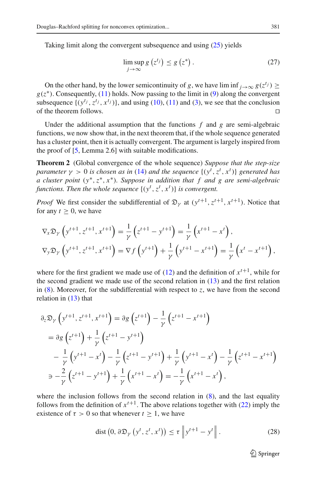<span id="page-10-0"></span>Taking limit along the convergent subsequence and using [\(25\)](#page-9-3) yields

<span id="page-10-2"></span>
$$
\limsup_{j \to \infty} g\left(z^{t_j}\right) \le g\left(z^*\right). \tag{27}
$$

On the other hand, by the lower semicontinuity of *g*, we have lim inf  $j \rightarrow \infty$   $g(z^{t_j}) \ge$  $g(z^*)$ . Consequently, [\(11\)](#page-6-3) holds. Now passing to the limit in [\(9\)](#page-6-1) along the convergent subsequence  $\{(y^{t_j}, z^{t_j}, x^{t_j})\}$ , and using [\(10\)](#page-6-2), [\(11\)](#page-6-3) and [\(3\)](#page-3-2), we see that the conclusion of the theorem follows.

Under the additional assumption that the functions  $f$  and  $g$  are semi-algebraic functions, we now show that, in the next theorem that, if the whole sequence generated has a cluster point, then it is actually convergent. The argument is largely inspired from the proof of [\[5,](#page-29-19) Lemma 2.6] with suitable modifications.

**Theorem 2** (Global convergence of the whole sequence) *Suppose that the step-size parameter*  $\gamma > 0$  *is chosen as in* [\(14\)](#page-6-5) *and the sequence*  $\{(y^t, z^t, x^t)\}$  *generated has a cluster point* (*y*∗,*z*∗, *x*∗)*. Suppose in addition that f and g are semi-algebraic functions. Then the whole sequence*  $\{(y^t, z^t, x^t)\}\)$  *is convergent.* 

*Proof* We first consider the subdifferential of  $\mathfrak{D}_{\nu}$  at  $(y^{t+1}, z^{t+1}, x^{t+1})$ . Notice that for any  $t \geq 0$ , we have

$$
\nabla_x \mathfrak{D}_\gamma \left( y^{t+1}, z^{t+1}, x^{t+1} \right) = \frac{1}{\gamma} \left( z^{t+1} - y^{t+1} \right) = \frac{1}{\gamma} \left( x^{t+1} - x^t \right),
$$
\n
$$
\nabla_y \mathfrak{D}_\gamma \left( y^{t+1}, z^{t+1}, x^{t+1} \right) = \nabla_f \left( y^{t+1} \right) + \frac{1}{\gamma} \left( y^{t+1} - x^{t+1} \right) = \frac{1}{\gamma} \left( x^t - x^{t+1} \right),
$$

where for the first gradient we made use of  $(12)$  and the definition of  $x^{t+1}$ , while for the second gradient we made use of the second relation in [\(13\)](#page-6-7) and the first relation in  $(8)$ . Moreover, for the subdifferential with respect to *z*, we have from the second relation in  $(13)$  that

$$
\partial_z \mathfrak{D}_{\gamma} \left( y^{t+1}, z^{t+1}, x^{t+1} \right) = \partial_g \left( z^{t+1} \right) - \frac{1}{\gamma} \left( z^{t+1} - x^{t+1} \right)
$$
  
\n
$$
= \partial_g \left( z^{t+1} \right) + \frac{1}{\gamma} \left( z^{t+1} - y^{t+1} \right)
$$
  
\n
$$
- \frac{1}{\gamma} \left( y^{t+1} - x^t \right) - \frac{1}{\gamma} \left( z^{t+1} - y^{t+1} \right) + \frac{1}{\gamma} \left( y^{t+1} - x^t \right) - \frac{1}{\gamma} \left( z^{t+1} - x^{t+1} \right)
$$
  
\n
$$
\Rightarrow -\frac{2}{\gamma} \left( z^{t+1} - y^{t+1} \right) + \frac{1}{\gamma} \left( x^{t+1} - x^t \right) = -\frac{1}{\gamma} \left( x^{t+1} - x^t \right),
$$

<span id="page-10-1"></span>where the inclusion follows from the second relation in  $(8)$ , and the last equality follows from the definition of  $x^{t+1}$ . The above relations together with [\(22\)](#page-9-2) imply the existence of  $\tau > 0$  so that whenever  $t > 1$ , we have

$$
\text{dist}\left(0, \,\partial \mathfrak{D}_{\gamma}\left(y^{t}, z^{t}, x^{t}\right)\right) \leq \tau \left\|y^{t+1} - y^{t}\right\|.
$$
\n(28)

 $\mathcal{D}$  Springer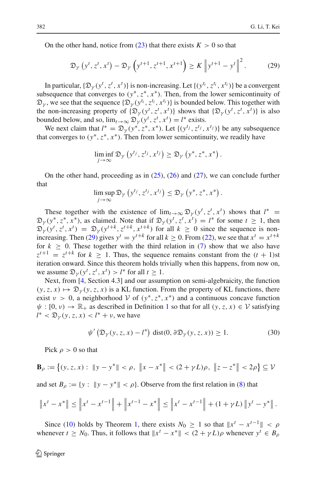On the other hand, notice from  $(23)$  that there exists  $K > 0$  so that

$$
\mathfrak{D}_{\gamma}\left(y^{t}, z^{t}, x^{t}\right) - \mathfrak{D}_{\gamma}\left(y^{t+1}, z^{t+1}, x^{t+1}\right) \geq K \left\|y^{t+1} - y^{t}\right\|^{2}.
$$
 (29)

<span id="page-11-0"></span>In particular,  $\{\mathfrak{D}_\gamma(y^t, z^t, x^t)\}\$  is non-increasing. Let  $\{(y^{t_i}, z^{t_i}, x^{t_i})\}\$  be a convergent subsequence that converges to  $(y^*, z^*, x^*)$ . Then, from the lower semicontinuity of  $\mathfrak{D}_{\gamma}$ , we see that the sequence  $\{\mathfrak{D}_{\gamma}(y^{t_i}, z^{t_i}, x^{t_i})\}$  is bounded below. This together with the non-increasing property of  $\{\mathfrak{D}_{\gamma}(y^{t}, z^{t}, x^{t})\}$  shows that  $\{\mathfrak{D}_{\gamma}(y^{t}, z^{t}, x^{t})\}$  is also bounded below, and so,  $\lim_{t\to\infty} \mathfrak{D}_{\gamma}(y^t, z^t, x^t) = l^*$  exists.

We next claim that  $l^* = \mathfrak{D}_\gamma(y^*, z^*, x^*)$ . Let  $\{(y^{t_j}, z^{t_j}, x^{t_j})\}$  be any subsequence that converges to  $(y^*, z^*, x^*)$ . Then from lower semicontinuity, we readily have

$$
\liminf_{j \to \infty} \mathfrak{D}_{\gamma}\left(y^{t_j}, z^{t_j}, x^{t_j}\right) \geq \mathfrak{D}_{\gamma}\left(y^*, z^*, x^*\right).
$$

On the other hand, proceeding as in  $(25)$ ,  $(26)$  and  $(27)$ , we can conclude further that

$$
\limsup_{j\to\infty}\mathfrak{D}_{\gamma}\left(y^{t_j}, z^{t_j}, x^{t_j}\right) \leq \mathfrak{D}_{\gamma}\left(y^*, z^*, x^*\right).
$$

These together with the existence of  $\lim_{t\to\infty} \mathfrak{D}_{\gamma}(y^t, z^t, x^t)$  shows that  $l^*$  $\mathfrak{D}_{\gamma}(y^*, z^*, x^*)$ , as claimed. Note that if  $\mathfrak{D}_{\gamma}(y^t, z^t, x^t) = l^*$  for some  $t \geq 1$ , then  $\mathfrak{D}_{\gamma}(y^{t}, z^{t}, x^{t}) = \mathfrak{D}_{\gamma}(y^{t+k}, z^{t+k}, x^{t+k})$  for all  $k \geq 0$  since the sequence is non-increasing. Then [\(29\)](#page-11-0) gives  $y^t = y^{t+k}$  for all  $k > 0$ . From [\(22\)](#page-9-2), we see that  $x^t = x^{t+k}$ for  $k \geq 0$ . These together with the third relation in [\(7\)](#page-5-4) show that we also have  $z^{t+1} = z^{t+k}$  for  $k \ge 1$ . Thus, the sequence remains constant from the  $(t + 1)$ st iteration onward. Since this theorem holds trivially when this happens, from now on, we assume  $\mathfrak{D}_{\gamma}(y^t, z^t, x^t) > l^*$  for all  $t \geq 1$ .

Next, from [\[4,](#page-29-18) Section 4.3] and our assumption on semi-algebraicity, the function  $(y, z, x) \mapsto \mathfrak{D}_{\nu}(y, z, x)$  is a KL function. From the property of KL functions, there exist  $v > 0$ , a neighborhood *V* of  $(y^*, z^*, x^*)$  and a continuous concave function  $\psi : [0, \nu) \to \mathbb{R}_+$  as described in Definition [1](#page-4-0) so that for all  $(\gamma, z, x) \in \mathcal{V}$  satisfying  $l^* < \mathfrak{D}_{\gamma}(y, z, x) < l^* + \nu$ , we have

$$
\psi'(\mathfrak{D}_\gamma(y,z,x)-l^*)\,\mathrm{dist}(0,\partial\mathfrak{D}_\gamma(y,z,x))\geq 1.\tag{30}
$$

<span id="page-11-1"></span>Pick  $\rho > 0$  so that

$$
\mathbf{B}_{\rho} := \left\{ (y, z, x) : \ \|y - y^*\| < \rho, \ \|x - x^*\| < (2 + \gamma L)\rho, \ \|z - z^*\| < 2\rho \right\} \subseteq \mathcal{V}
$$

and set  $B_\rho := \{y : ||y - y^*|| < \rho\}$ . Observe from the first relation in [\(8\)](#page-5-5) that

$$
\|x^{t} - x^{*}\| \le \|x^{t} - x^{t-1}\| + \|x^{t-1} - x^{*}\| \le \|x^{t} - x^{t-1}\| + (1 + \gamma L) \|y^{t} - y^{*}\|.
$$

Since [\(10\)](#page-6-2) holds by Theorem [1,](#page-6-6) there exists  $N_0 \geq 1$  so that  $||x^t - x^{t-1}|| < \rho$ whenever  $t \geq N_0$ . Thus, it follows that  $||x^t - x^*|| < (2 + \gamma L)\rho$  whenever  $y^t \in B_\rho$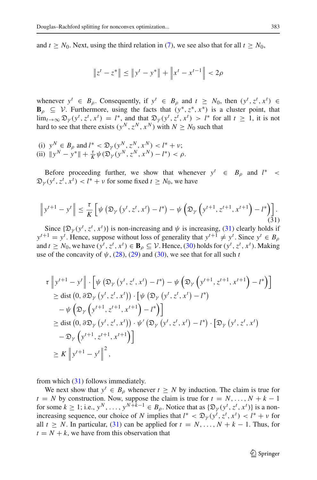and  $t \geq N_0$ . Next, using the third relation in [\(7\)](#page-5-4), we see also that for all  $t \geq N_0$ ,

$$
\|z^t - z^*\| \le \|y^t - y^*\| + \left\|x^t - x^{t-1}\right\| < 2\rho
$$

whenever  $y^t \in B_\rho$ . Consequently, if  $y^t \in B_\rho$  and  $t \geq N_0$ , then  $(y^t, z^t, x^t) \in$  $\mathbf{B}_{\rho} \subseteq \mathcal{V}$ . Furthermore, using the facts that  $(y^*, z^*, x^*)$  is a cluster point, that  $\lim_{t\to\infty} \mathfrak{D}_{\gamma}(y^t, z^t, x^t) = l^*$ , and that  $\mathfrak{D}_{\gamma}(y^t, z^t, x^t) > l^*$  for all  $t \ge 1$ , it is not hard to see that there exists  $(y^N, z^N, x^N)$  with  $N \ge N_0$  such that

(i)  $y^N \in B_\rho$  and  $l^* < \mathfrak{D}_\gamma(y^N, z^N, x^N) < l^* + \nu;$ (ii)  $||y^N - y^*|| + \frac{\tau}{K} \psi(\mathfrak{D}_\gamma(y^N, z^N, x^N) - l^*) < \rho.$ 

Before proceeding further, we show that whenever  $y^t \in B_\rho$  and  $l^*$  $\mathfrak{D}_{\gamma}(y^{t}, z^{t}, x^{t}) < l^{*} + \nu$  for some fixed  $t \geq N_{0}$ , we have

$$
\left\|y^{t+1} - y^t\right\| \le \frac{\tau}{K} \left[\psi\left(\mathfrak{D}_\gamma\left(y^t, z^t, x^t\right) - l^*\right) - \psi\left(\mathfrak{D}_\gamma\left(y^{t+1}, z^{t+1}, x^{t+1}\right) - l^*\right)\right].\tag{31}
$$

<span id="page-12-0"></span>Since  $\{\mathfrak{D}_{\gamma}(y^{t}, z^{t}, x^{t})\}$  is non-increasing and  $\psi$  is increasing, [\(31\)](#page-12-0) clearly holds if  $y^{t+1} = y^t$ . Hence, suppose without loss of generality that  $y^{t+1} \neq y^t$ . Since  $y^t \in B_\rho$ and  $t \geq N_0$ , we have  $(y^t, z^t, x^t) \in \mathbf{B}_{\rho} \subseteq \mathcal{V}$ . Hence, [\(30\)](#page-11-1) holds for  $(y^t, z^t, x^t)$ . Making use of the concavity of  $\psi$ , [\(28\)](#page-10-1), [\(29\)](#page-11-0) and [\(30\)](#page-11-1), we see that for all such *t* 

$$
\tau \left\| y^{t+1} - y^t \right\| \cdot \left[ \psi \left( \mathfrak{D}_{\gamma} \left( y^t, z^t, x^t \right) - l^* \right) - \psi \left( \mathfrak{D}_{\gamma} \left( y^{t+1}, z^{t+1}, x^{t+1} \right) - l^* \right) \right]
$$
\n
$$
\geq \text{dist} \left( 0, \partial \mathfrak{D}_{\gamma} \left( y^t, z^t, x^t \right) \right) \cdot \left[ \psi \left( \mathfrak{D}_{\gamma} \left( y^t, z^t, x^t \right) - l^* \right) \right]
$$
\n
$$
- \psi \left( \mathfrak{D}_{\gamma} \left( y^{t+1}, z^{t+1}, x^{t+1} \right) - l^* \right) \right]
$$
\n
$$
\geq \text{dist} \left( 0, \partial \mathfrak{D}_{\gamma} \left( y^t, z^t, x^t \right) \right) \cdot \psi' \left( \mathfrak{D}_{\gamma} \left( y^t, z^t, x^t \right) - l^* \right) \cdot \left[ \mathfrak{D}_{\gamma} \left( y^t, z^t, x^t \right) \right]
$$
\n
$$
- \mathfrak{D}_{\gamma} \left( y^{t+1}, z^{t+1}, x^{t+1} \right) \right]
$$
\n
$$
\geq K \left\| y^{t+1} - y^t \right\|^2,
$$

from which [\(31\)](#page-12-0) follows immediately.

We next show that  $y^t \in B_\rho$  whenever  $t \geq N$  by induction. The claim is true for  $t = N$  by construction. Now, suppose the claim is true for  $t = N, \ldots, N + k - 1$ for some  $k \ge 1$ ; i.e.,  $y^N$ , ...,  $y^{N+k-1} \in B_\rho$ . Notice that as  $\{\mathfrak{D}_\gamma(y^t, z^t, x^t)\}\$ is a nonincreasing sequence, our choice of *N* implies that  $l^* < \mathfrak{D}_{\gamma}(y^t, z^t, x^t) < l^* + \nu$  for all  $t > N$ . In particular, [\(31\)](#page-12-0) can be applied for  $t = N, \ldots, N + k - 1$ . Thus, for  $t = N + k$ , we have from this observation that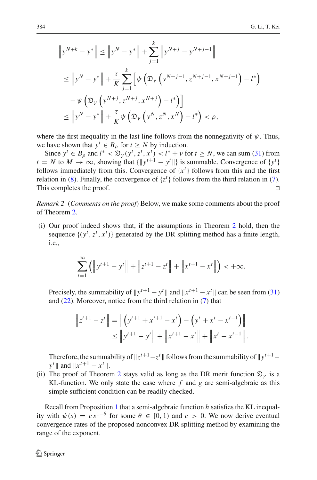$$
\|y^{N+k} - y^*\| \le \|y^N - y^*\| + \sum_{j=1}^k \|y^{N+j} - y^{N+j-1}\|
$$
  
\n
$$
\le \|y^N - y^*\| + \frac{\tau}{K} \sum_{j=1}^k \left[ \psi\left(\mathfrak{D}_Y \left( y^{N+j-1}, z^{N+j-1}, x^{N+j-1} \right) - l^* \right) - \psi\left(\mathfrak{D}_Y \left( y^{N+j}, z^{N+j}, x^{N+j} \right) - l^* \right) \right]
$$
  
\n
$$
\le \|y^N - y^*\| + \frac{\tau}{K} \psi\left(\mathfrak{D}_Y \left( y^N, z^N, x^N \right) - l^* \right) < \rho,
$$

where the first inequality in the last line follows from the nonnegativity of  $\psi$ . Thus, we have shown that  $y^t \in B_\rho$  for  $t \geq N$  by induction.

Since  $y^t \in B_\rho$  and  $l^* < \mathfrak{D}_\gamma(y^t, z^t, x^t) < l^* + \nu$  for  $t \ge N$ , we can sum [\(31\)](#page-12-0) from  $t = N$  to  $M \to \infty$ , showing that  $\{\Vert y^{t+1} - y^t \Vert\}$  is summable. Convergence of  $\{y^t\}$ follows immediately from this. Convergence of  $\{x^t\}$  follows from this and the first relation in [\(8\)](#page-5-5). Finally, the convergence of  $\{z^t\}$  follows from the third relation in [\(7\)](#page-5-4). This completes the proof.

*Remark 2* (*Comments on the proof*) Below, we make some comments about the proof of Theorem [2.](#page-10-2)

(i) Our proof indeed shows that, if the assumptions in Theorem [2](#page-10-2) hold, then the sequence  $\{(y^t, z^t, x^t)\}$  generated by the DR splitting method has a finite length, i.e.,

$$
\sum_{t=1}^{\infty} \left( \left\| y^{t+1} - y^t \right\| + \left\| z^{t+1} - z^t \right\| + \left\| x^{t+1} - x^t \right\| \right) < +\infty.
$$

Precisely, the summability of  $||y^{t+1} - y^t||$  and  $||x^{t+1} - x^t||$  can be seen from [\(31\)](#page-12-0) and [\(22\)](#page-9-2). Moreover, notice from the third relation in [\(7\)](#page-5-4) that

$$
\|z^{t+1} - z^t\| = \left\| \left( y^{t+1} + x^{t+1} - x^t \right) - \left( y^t + x^t - x^{t-1} \right) \right\|
$$
  

$$
\leq \| y^{t+1} - y^t \| + \| x^{t+1} - x^t \| + \| x^t - x^{t-1} \|.
$$

Therefore, the summability of  $\|z^{t+1} - z^t\|$  follows from the summability of  $\|y^{t+1} - z^t\|$  $y^t$  || and  $||x^{t+1} - x^t||$ .

(ii) The proof of Theorem [2](#page-10-2) stays valid as long as the DR merit function  $\mathfrak{D}_{\nu}$  is a KL-function. We only state the case where *f* and *g* are semi-algebraic as this simple sufficient condition can be readily checked.

<span id="page-13-0"></span>Recall from Proposition [1](#page-4-1) that a semi-algebraic function *h* satisfies the KL inequality with  $\psi(s) = c s^{1-\theta}$  for some  $\theta \in [0, 1)$  and  $c > 0$ . We now derive eventual convergence rates of the proposed nonconvex DR splitting method by examining the range of the exponent.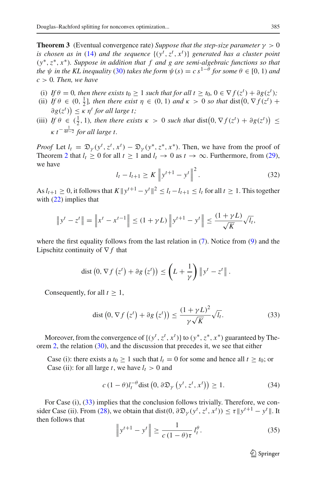**Theorem 3** (Eventual convergence rate) *Suppose that the step-size parameter*  $\gamma > 0$ *is chosen as in* [\(14\)](#page-6-5) *and the sequence*  $\{(y^t, z^t, x^t)\}$  *generated has a cluster point* (*y*∗,*z*∗, *x*∗)*. Suppose in addition that f and g are semi-algebraic functions so that the*  $\psi$  *in the KL inequality* [\(30\)](#page-11-1) *takes the form*  $\psi(s) = c s^{1-\theta}$  *for some*  $\theta \in [0, 1)$  *and*  $c > 0$ *. Then, we have* 

- (i) *If*  $\theta = 0$ *, then there exists t*<sub>0</sub>  $\geq 1$  *such that for all t*  $\geq t_0$ ,  $0 \in \nabla f(z^t) + \partial g(z^t)$ ;
- (ii) If  $\theta \in (0, \frac{1}{2}]$ , then there exist  $\eta \in (0, 1)$  and  $\kappa > 0$  so that  $dist(0, \nabla f(z^t) +$  $\partial g(z^t)$   $\leq$   $\kappa$   $\eta^t$  *for all large t;*
- (iii) If  $\theta \in (\frac{1}{2}, 1)$ , then there exists  $\kappa > 0$  such that  $dist(0, \nabla f(z^t) + \partial g(z^t)) \le$  $\kappa$  t<sup>-</sup> $\frac{1}{4\theta-2}$  for all large t.

*Proof* Let  $l_t = \mathfrak{D}_\gamma(y^t, z^t, x^t) - \mathfrak{D}_\gamma(y^*, z^*, x^*)$ . Then, we have from the proof of Theorem [2](#page-10-2) that  $l_t \ge 0$  for all  $t \ge 1$  and  $l_t \to 0$  as  $t \to \infty$ . Furthermore, from [\(29\)](#page-11-0), we have

$$
l_t - l_{t+1} \ge K \left\| y^{t+1} - y^t \right\|^2.
$$
 (32)

<span id="page-14-1"></span>As  $l_{t+1} \geq 0$ , it follows that  $K ||y^{t+1} - y^t||^2 \leq l_t - l_{t+1} \leq l_t$  for all  $t \geq 1$ . This together with  $(22)$  implies that

$$
\|y^{t} - z^{t}\| = \left\|x^{t} - x^{t-1}\right\| \le (1 + \gamma L) \left\|y^{t+1} - y^{t}\right\| \le \frac{(1 + \gamma L)}{\sqrt{K}} \sqrt{l_{t}},
$$

where the first equality follows from the last relation in  $(7)$ . Notice from  $(9)$  and the Lipschitz continuity of ∇ *f* that

$$
\operatorname{dist}(0, \nabla f(z^t) + \partial g(z^t)) \leq \left(L + \frac{1}{\gamma}\right) \|y^t - z^t\|.
$$

<span id="page-14-0"></span>Consequently, for all  $t \geq 1$ ,

$$
\text{dist}\left(0, \nabla f\left(z^t\right) + \partial g\left(z^t\right)\right) \le \frac{(1 + \gamma L)^2}{\gamma \sqrt{K}} \sqrt{I_t}.\tag{33}
$$

Moreover, from the convergence of  $\{(y^t, z^t, x^t)\}\$  to  $(y^*, z^*, x^*)$  guaranteed by The-orem [2,](#page-10-2) the relation [\(30\)](#page-11-1), and the discussion that precedes it, we see that either

Case (i): there exists a  $t_0 \ge 1$  such that  $l_t = 0$  for some and hence all  $t \ge t_0$ ; or Case (ii): for all large *t*, we have  $l_t > 0$  and

$$
c\left(1-\theta\right)l_{t}^{-\theta}\text{dist}\left(0,\partial\mathfrak{D}_{\gamma}\left(y^{t},z^{t},x^{t}\right)\right)\geq1.\tag{34}
$$

<span id="page-14-2"></span>For Case (i), [\(33\)](#page-14-0) implies that the conclusion follows trivially. Therefore, we con-sider Case (ii). From [\(28\)](#page-10-1), we obtain that dist(0,  $\partial \mathfrak{D}_{\gamma}(y^{t}, z^{t}, x^{t})$ )  $\leq \tau ||y^{t+1} - y^{t}||$ . It then follows that

$$
\left\| y^{t+1} - y^t \right\| \ge \frac{1}{c \left( 1 - \theta \right) \tau} l_t^{\theta}.
$$
 (35)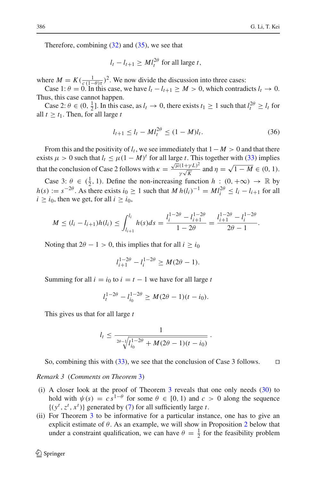Therefore, combining  $(32)$  and  $(35)$ , we see that

$$
l_t - l_{t+1} \geq M l_t^{2\theta} \text{ for all large } t,
$$

where  $M = K(\frac{1}{c(1-\theta)\tau})^2$ . We now divide the discussion into three cases:

Case 1:  $\theta = 0$ . In this case, we have  $l_t - l_{t+1} \geq M > 0$ , which contradicts  $l_t \to 0$ . Thus, this case cannot happen.

Case 2:  $\theta \in (0, \frac{1}{2}]$ . In this case, as  $l_t \to 0$ , there exists  $t_1 \ge 1$  such that  $l_t^{2\theta} \ge l_t$  for all  $t > t_1$ . Then, for all large  $t$ 

$$
l_{t+1} \le l_t - M l_t^{2\theta} \le (1 - M) l_t. \tag{36}
$$

From this and the positivity of  $l_t$ , we see immediately that  $1-M > 0$  and that there exists  $\mu > 0$  such that  $l_t \leq \mu (1 - M)^t$  for all large *t*. This together with [\(33\)](#page-14-0) implies that the conclusion of Case 2 follows with  $\kappa = \frac{\sqrt{\mu}(1+\gamma L)^2}{\gamma \sqrt{K}}$  $\frac{J(1+\gamma L)^2}{\gamma \sqrt{K}}$  and  $\eta = \sqrt{1 - M} \in (0, 1)$ .

Case 3:  $\theta \in (\frac{1}{2}, 1)$ . Define the non-increasing function  $h : (0, +\infty) \to \mathbb{R}$  by *h*(*s*) :=  $s^{-2\theta}$ . As there exists *i*<sub>0</sub> ≥ 1 such that *M h*(*l<sub>i</sub>*)<sup>−1</sup> =  $MI_i^{2\theta} \le l_i - l_{i+1}$  for all  $i \geq i_0$ , then we get, for all  $i \geq i_0$ ,

$$
M \leq (l_i - l_{i+1})h(l_i) \leq \int_{l_{i+1}}^{l_i} h(s)ds = \frac{l_i^{1-2\theta} - l_{i+1}^{1-2\theta}}{1-2\theta} = \frac{l_{i+1}^{1-2\theta} - l_i^{1-2\theta}}{2\theta - 1}.
$$

Noting that  $2\theta - 1 > 0$ , this implies that for all  $i \ge i_0$ 

$$
l_{i+1}^{1-2\theta} - l_i^{1-2\theta} \ge M(2\theta - 1).
$$

Summing for all  $i = i_0$  to  $i = t - 1$  we have for all large *t* 

$$
l_t^{1-2\theta} - l_{i_0}^{1-2\theta} \ge M(2\theta - 1)(t - i_0).
$$

This gives us that for all large *t*

$$
l_t \leq \frac{1}{\sqrt[2\theta - 1/\sqrt[1]{l_0^{1-2\theta} + M(2\theta - 1)(t - i_0)}}.
$$

So, combining this with  $(33)$ , we see that the conclusion of Case 3 follows.  $\Box$ 

<span id="page-15-0"></span>*Remark 3* (*Comments on Theorem* [3\)](#page-13-0)

- (i) A closer look at the proof of Theorem [3](#page-13-0) reveals that one only needs [\(30\)](#page-11-1) to hold with  $\psi(s) = c s^{1-\theta}$  for some  $\theta \in [0, 1)$  and  $c > 0$  along the sequence  $\{(y^t, z^t, x^t)\}\$ generated by [\(7\)](#page-5-4) for all sufficiently large *t*.
- (ii) For Theorem [3](#page-13-0) to be informative for a particular instance, one has to give an explicit estimate of  $\theta$ . As an example, we will show in Proposition [2](#page-20-0) below that under a constraint qualification, we can have  $\theta = \frac{1}{2}$  for the feasibility problem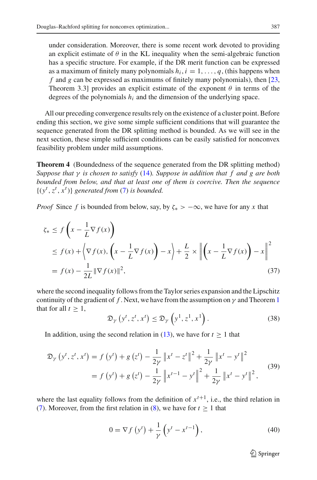under consideration. Moreover, there is some recent work devoted to providing an explicit estimate of  $\theta$  in the KL inequality when the semi-algebraic function has a specific structure. For example, if the DR merit function can be expressed as a maximum of finitely many polynomials  $h_i$ ,  $i = 1, \ldots, q$ , (this happens when *f* and *g* can be expressed as maximums of finitely many polynomials), then [\[23,](#page-29-23) Theorem 3.3] provides an explicit estimate of the exponent  $\theta$  in terms of the degrees of the polynomials *hi* and the dimension of the underlying space.

All our preceding convergence results rely on the existence of a cluster point. Before ending this section, we give some simple sufficient conditions that will guarantee the sequence generated from the DR splitting method is bounded. As we will see in the next section, these simple sufficient conditions can be easily satisfied for nonconvex feasibility problem under mild assumptions.

<span id="page-16-4"></span>**Theorem 4** (Boundedness of the sequence generated from the DR splitting method) *Suppose that* γ *is chosen to satisfy* [\(14\)](#page-6-5)*. Suppose in addition that f and g are both bounded from below, and that at least one of them is coercive. Then the sequence*  $\{(y^t, z^t, x^t)\}\$  *generated from* [\(7\)](#page-5-4) *is bounded.* 

<span id="page-16-2"></span>*Proof* Since *f* is bounded from below, say, by  $\zeta_*$  >  $-\infty$ , we have for any *x* that

$$
\zeta_* \le f\left(x - \frac{1}{L}\nabla f(x)\right)
$$
  
\n
$$
\le f(x) + \left\langle \nabla f(x), \left(x - \frac{1}{L}\nabla f(x)\right) - x\right\rangle + \frac{L}{2} \times \left\| \left(x - \frac{1}{L}\nabla f(x)\right) - x\right\|^2
$$
  
\n
$$
= f(x) - \frac{1}{2L} \|\nabla f(x)\|^2,
$$
\n(37)

where the second inequality follows from the Taylor series expansion and the Lipschitz continuity of the gradient of *f*. Next, we have from the assumption on  $\gamma$  and Theorem [1](#page-6-6) that for all  $t > 1$ ,

$$
\mathfrak{D}_{\gamma}\left(y^{t}, z^{t}, x^{t}\right) \leq \mathfrak{D}_{\gamma}\left(y^{1}, z^{1}, x^{1}\right). \tag{38}
$$

<span id="page-16-1"></span>In addition, using the second relation in [\(13\)](#page-6-7), we have for  $t \ge 1$  that

$$
\mathfrak{D}_{\gamma}\left(y^{t}, z^{t}, x^{t}\right) = f\left(y^{t}\right) + g\left(z^{t}\right) - \frac{1}{2\gamma} \left\|x^{t} - z^{t}\right\|^{2} + \frac{1}{2\gamma} \left\|x^{t} - y^{t}\right\|^{2}
$$
\n
$$
= f\left(y^{t}\right) + g\left(z^{t}\right) - \frac{1}{2\gamma} \left\|x^{t-1} - y^{t}\right\|^{2} + \frac{1}{2\gamma} \left\|x^{t} - y^{t}\right\|^{2},\tag{39}
$$

<span id="page-16-3"></span><span id="page-16-0"></span>where the last equality follows from the definition of  $x^{t+1}$ , i.e., the third relation in [\(7\)](#page-5-4). Moreover, from the first relation in [\(8\)](#page-5-5), we have for  $t \ge 1$  that

$$
0 = \nabla f\left(y^t\right) + \frac{1}{\gamma} \left(y^t - x^{t-1}\right),\tag{40}
$$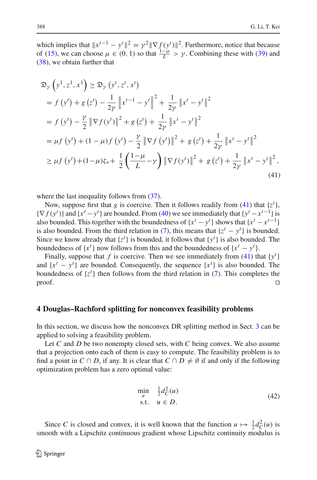which implies that  $||x^{t-1} - y^t||^2 = \gamma^2 ||\nabla f(y^t)||^2$ . Furthermore, notice that because of [\(15\)](#page-7-2), we can choose  $\mu \in (0, 1)$  so that  $\frac{1-\mu}{L} > \gamma$ . Combining these with [\(39\)](#page-16-0) and [\(38\)](#page-16-1), we obtain further that

<span id="page-17-1"></span>
$$
\mathfrak{D}_{\gamma}\left(y^{1}, z^{1}, x^{1}\right) \geq \mathfrak{D}_{\gamma}\left(y^{t}, z^{t}, x^{t}\right)
$$
\n
$$
= f\left(y^{t}\right) + g\left(z^{t}\right) - \frac{1}{2\gamma} \left\|x^{t-1} - y^{t}\right\|^{2} + \frac{1}{2\gamma} \left\|x^{t} - y^{t}\right\|^{2}
$$
\n
$$
= f\left(y^{t}\right) - \frac{\gamma}{2} \left\|\nabla f(y^{t})\right\|^{2} + g\left(z^{t}\right) + \frac{1}{2\gamma} \left\|x^{t} - y^{t}\right\|^{2}
$$
\n
$$
= \mu f\left(y^{t}\right) + (1 - \mu)f\left(y^{t}\right) - \frac{\gamma}{2} \left\|\nabla f\left(y^{t}\right)\right\|^{2} + g\left(z^{t}\right) + \frac{1}{2\gamma} \left\|x^{t} - y^{t}\right\|^{2}
$$
\n
$$
\geq \mu f\left(y^{t}\right) + (1 - \mu)\zeta_{*} + \frac{1}{2} \left(\frac{1 - \mu}{L} - \gamma\right) \left\|\nabla f(y^{t})\right\|^{2} + g\left(z^{t}\right) + \frac{1}{2\gamma} \left\|x^{t} - y^{t}\right\|^{2},\tag{41}
$$

where the last inequality follows from  $(37)$ .

Now, suppose first that *g* is coercive. Then it follows readily from [\(41\)](#page-17-1) that  $\{z^t\}$ ,  $\{\nabla f(y^t)\}\$  and  $\{x^t - y^t\}$  are bounded. From [\(40\)](#page-16-3) we see immediately that  $\{y^t - x^{t-1}\}\$ is also bounded. This together with the boundedness of  ${x<sup>t</sup> - y<sup>t</sup>}$  shows that  ${x<sup>t</sup> - x<sup>t-1</sup>}$ is also bounded. From the third relation in [\(7\)](#page-5-4), this means that  $\{z^t - y^t\}$  is bounded. Since we know already that  $\{z^t\}$  is bounded, it follows that  $\{y^t\}$  is also bounded. The boundedness of  $\{x^t\}$  now follows from this and the boundedness of  $\{x^t - y^t\}$ .

Finally, suppose that *f* is coercive. Then we see immediately from [\(41\)](#page-17-1) that  $\{y^t\}$ and  $\{x^t - y^t\}$  are bounded. Consequently, the sequence  $\{x^t\}$  is also bounded. The boundedness of  $\{z^t\}$  then follows from the third relation in [\(7\)](#page-5-4). This completes the  $\Box$ 

#### <span id="page-17-0"></span>**4 Douglas–Rachford splitting for nonconvex feasibility problems**

In this section, we discuss how the nonconvex DR splitting method in Sect. [3](#page-5-0) can be applied to solving a feasibility problem.

Let *C* and *D* be two nonempty closed sets, with *C* being convex. We also assume that a projection onto each of them is easy to compute. The feasibility problem is to find a point in *C* ∩ *D*, if any. It is clear that  $C \cap D \neq \emptyset$  if and only if the following optimization problem has a zero optimal value:

<span id="page-17-2"></span>
$$
\min_{u} \quad \frac{1}{2}d_C^2(u) \n\text{s.t.} \quad u \in D.
$$
\n(42)

Since *C* is closed and convex, it is well known that the function  $u \mapsto \frac{1}{2}d_C^2(u)$  is smooth with a Lipschitz continuous gradient whose Lipschitz continuity modulus is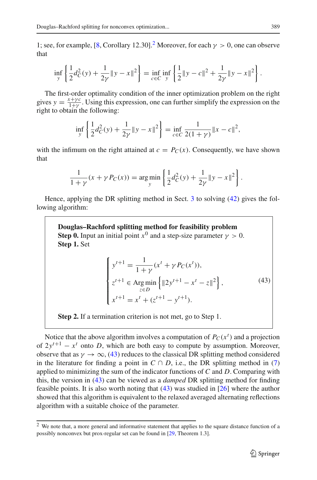1; see, for example, [\[8](#page-29-1), Corollary 1[2](#page-18-0).30].<sup>2</sup> Moreover, for each  $\gamma > 0$ , one can observe that

$$
\inf_{y} \left\{ \frac{1}{2} d_C^2(y) + \frac{1}{2\gamma} \|y - x\|^2 \right\} = \inf_{c \in C} \inf_{y} \left\{ \frac{1}{2} \|y - c\|^2 + \frac{1}{2\gamma} \|y - x\|^2 \right\}.
$$

The first-order optimality condition of the inner optimization problem on the right gives  $y = \frac{x + \gamma c}{1 + \gamma}$ . Using this expression, one can further simplify the expression on the right to obtain the following:

$$
\inf_{y} \left\{ \frac{1}{2} d_C^2(y) + \frac{1}{2\gamma} \|y - x\|^2 \right\} = \inf_{c \in C} \frac{1}{2(1 + \gamma)} \|x - c\|^2,
$$

with the infimum on the right attained at  $c = P<sub>C</sub>(x)$ . Consequently, we have shown that

$$
\frac{1}{1+\gamma}(x+\gamma P_C(x)) = \arg\min_{y} \left\{ \frac{1}{2} d_C^2(y) + \frac{1}{2\gamma} ||y - x||^2 \right\}.
$$

Hence, applying the DR splitting method in Sect. [3](#page-5-0) to solving [\(42\)](#page-17-2) gives the following algorithm:

**Douglas–Rachford splitting method for feasibility problem Step 0.** Input an initial point  $x^0$  and a step-size parameter  $\gamma > 0$ . **Step 1.** Set

$$
\begin{cases}\ny^{t+1} = \frac{1}{1+\gamma}(x^t + \gamma P_C(x^t)),\\
z^{t+1} \in \operatorname{Arg}\min_{z \in D} \{|2y^{t+1} - x^t - z\|^2\},\\
x^{t+1} = x^t + (z^{t+1} - y^{t+1}).\n\end{cases} \tag{43}
$$

<span id="page-18-1"></span>**Step 2.** If a termination criterion is not met, go to Step 1.

Notice that the above algorithm involves a computation of  $P_C(x^t)$  and a projection of  $2y^{t+1} - x^t$  onto *D*, which are both easy to compute by assumption. Moreover, observe that as  $\gamma \to \infty$ , [\(43\)](#page-18-1) reduces to the classical DR splitting method considered in the literature for finding a point in  $C \cap D$ , i.e., the DR splitting method in [\(7\)](#page-5-4) applied to minimizing the sum of the indicator functions of *C* and *D*. Comparing with this, the version in [\(43\)](#page-18-1) can be viewed as a *damped* DR splitting method for finding feasible points. It is also worth noting that [\(43\)](#page-18-1) was studied in [\[26\]](#page-29-17) where the author showed that this algorithm is equivalent to the relaxed averaged alternating reflections algorithm with a suitable choice of the parameter.

<span id="page-18-0"></span><sup>&</sup>lt;sup>2</sup> We note that, a more general and informative statement that applies to the square distance function of a possibly nonconvex but prox-regular set can be found in [\[29](#page-30-4), Theorem 1.3].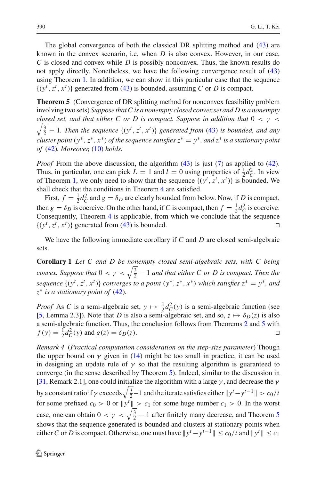The global convergence of both the classical DR splitting method and [\(43\)](#page-18-1) are known in the convex scenario, i.e, when *D* is also convex. However, in our case, *C* is closed and convex while *D* is possibly nonconvex. Thus, the known results do not apply directly. Nonetheless, we have the following convergence result of [\(43\)](#page-18-1) using Theorem [1.](#page-6-6) In addition, we can show in this particular case that the sequence  $\{(y^t, z^t, x^t)\}\$ generated from [\(43\)](#page-18-1) is bounded, assuming *C* or *D* is compact.

<span id="page-19-0"></span>**Theorem 5** (Convergence of DR splitting method for nonconvex feasibility problem involving two sets) *Suppose that C is a nonempty closed convex set and D is a nonempty closed set, and that either C or D is compact. Suppose in addition that*  $0 < \gamma <$  $\sqrt{\frac{3}{2}}-1$ . Then the sequence  $\{(y^t, z^t, x^t)\}\)$  generated from [\(43\)](#page-18-1) is bounded, and any *cluster point*  $(y^*, z^*, x^*)$  *of the sequence satisfies*  $z^* = y^*$ *, and*  $z^*$  *is a stationary point of* [\(42\)](#page-17-2)*. Moreover,* [\(10\)](#page-6-2) *holds.*

*Proof* From the above discussion, the algorithm [\(43\)](#page-18-1) is just [\(7\)](#page-5-4) as applied to [\(42\)](#page-17-2). Thus, in particular, one can pick  $L = 1$  and  $l = 0$  using properties of  $\frac{1}{2}d_C^2$ . In view of Theorem [1,](#page-6-6) we only need to show that the sequence  $\{(y^t, z^t, x^t)\}\)$  is bounded. We shall check that the conditions in Theorem [4](#page-16-4) are satisfied.

First,  $f = \frac{1}{2}d_C^2$  and  $g = \delta_D$  are clearly bounded from below. Now, if *D* is compact, then  $g = \delta_D$  is coercive. On the other hand, if *C* is compact, then  $f = \frac{1}{2}d_C^2$  is coercive. Consequently, Theorem [4](#page-16-4) is applicable, from which we conclude that the sequence  $\{(y^t, z^t, x^t)\}\)$  generated from [\(43\)](#page-18-1) is bounded.

<span id="page-19-1"></span>We have the following immediate corollary if *C* and *D* are closed semi-algebraic sets.

**Corollary 1** *Let C and D be nonempty closed semi-algebraic sets, with C being convex. Suppose that*  $0 < \gamma < \sqrt{\frac{3}{2}} - 1$  *and that either C or D is compact. Then the sequence*  $\{(y^t, z^t, x^t)\}$  *converges to a point*  $(y^*, z^*, x^*)$  *which satisfies*  $z^* = y^*$ *, and z*∗ *is a stationary point of* [\(42\)](#page-17-2)*.*

*Proof* As *C* is a semi-algebraic set,  $y \mapsto \frac{1}{2}d_C^2(y)$  is a semi-algebraic function (see [\[5](#page-29-19), Lemma 2.3]). Note that *D* is also a semi-algebraic set, and so,  $z \mapsto \delta_D(z)$  is also a semi-algebraic function. Thus, the conclusion follows from Theorems [2](#page-10-2) and [5](#page-19-0) with  $f(y) = \frac{1}{2}d_C^2(y)$  and  $g(z) = \delta_D(z)$ .

<span id="page-19-2"></span>*Remark 4* (*Practical computation consideration on the step-size parameter*) Though the upper bound on  $\gamma$  given in [\(14\)](#page-6-5) might be too small in practice, it can be used in designing an update rule of  $\gamma$  so that the resulting algorithm is guaranteed to converge (in the sense described by Theorem [5\)](#page-19-0). Indeed, similar to the discussion in [\[31](#page-30-5), Remark 2.1], one could initialize the algorithm with a large  $\gamma$ , and decrease the  $\gamma$ by a constant ratio if  $\gamma$  exceeds  $\sqrt{\frac{3}{2}}-1$  and the iterate satisfies either  $\|y^t - y^{t-1}\| > c_0/t$ for some prefixed  $c_0 > 0$  or  $||y^t|| > c_1$  for some huge number  $c_1 > 0$ . In the worst case, one can obtain  $0 < \gamma < \sqrt{\frac{3}{2}} - 1$  after finitely many decrease, and Theorem [5](#page-19-0) shows that the sequence generated is bounded and clusters at stationary points when either *C* or *D* is compact. Otherwise, one must have  $||y^t - y^{t-1}|| \le c_0/t$  and  $||y^t|| \le c_1$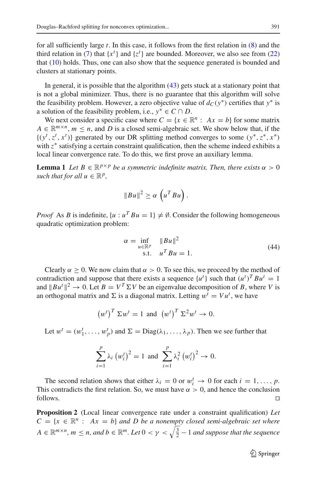for all sufficiently large *t*. In this case, it follows from the first relation in [\(8\)](#page-5-5) and the third relation in [\(7\)](#page-5-4) that  $\{x^t\}$  and  $\{z^t\}$  are bounded. Moreover, we also see from [\(22\)](#page-9-2) that [\(10\)](#page-6-2) holds. Thus, one can also show that the sequence generated is bounded and clusters at stationary points.

In general, it is possible that the algorithm [\(43\)](#page-18-1) gets stuck at a stationary point that is not a global minimizer. Thus, there is no guarantee that this algorithm will solve the feasibility problem. However, a zero objective value of  $d_C(y^*)$  certifies that  $y^*$  is a solution of the feasibility problem, i.e.,  $y^* \in C \cap D$ .

We next consider a specific case where  $C = \{x \in \mathbb{R}^n : Ax = b\}$  for some matrix  $A \in \mathbb{R}^{m \times n}$ ,  $m \leq n$ , and *D* is a closed semi-algebraic set. We show below that, if the  $\{(y^t, z^t, x^t)\}\$  generated by our DR splitting method converges to some  $(y^*, z^*, x^*)\}$ with *z*∗ satisfying a certain constraint qualification, then the scheme indeed exhibits a local linear convergence rate. To do this, we first prove an auxiliary lemma.

**Lemma 1** *Let*  $B \in \mathbb{R}^{p \times p}$  *be a symmetric indefinite matrix. Then, there exists*  $\alpha > 0$ *such that for all*  $u \in \mathbb{R}^p$ ,

$$
||Bu||^2 \geq \alpha \left( u^T B u \right).
$$

*Proof* As *B* is indefinite,  $\{u : u^T B u = 1\} \neq \emptyset$ . Consider the following homogeneous quadratic optimization problem:

$$
\alpha = \inf_{u \in \mathbb{R}^p} \|Bu\|^2
$$
  
s.t. 
$$
u^T Bu = 1.
$$
 (44)

Clearly  $\alpha > 0$ . We now claim that  $\alpha > 0$ . To see this, we proceed by the method of contradiction and suppose that there exists a sequence  $\{u^t\}$  such that  $(u^t)^T B u^t = 1$ and  $\|Bu^t\|^2 \to 0$ . Let  $B = V^T \Sigma V$  be an eigenvalue decomposition of *B*, where *V* is an orthogonal matrix and  $\Sigma$  is a diagonal matrix. Letting  $w^t = Vu^t$ , we have

$$
\left(w^t\right)^T \Sigma w^t = 1 \text{ and } \left(w^t\right)^T \Sigma^2 w^t \to 0.
$$

Let  $w^t = (w_1^t, \dots, w_p^t)$  and  $\Sigma = \text{Diag}(\lambda_1, \dots, \lambda_p)$ . Then we see further that

$$
\sum_{i=1}^{p} \lambda_i (w_i^t)^2 = 1 \text{ and } \sum_{i=1}^{p} \lambda_i^2 (w_i^t)^2 \to 0.
$$

The second relation shows that either  $\lambda_i = 0$  or  $w_i^t \to 0$  for each  $i = 1, ..., p$ . This contradicts the first relation. So, we must have  $\alpha > 0$ , and hence the conclusion  $\Box$  follows.

<span id="page-20-0"></span>**Proposition 2** (Local linear convergence rate under a constraint qualification) *Let*  $C = \{x \in \mathbb{R}^n : Ax = b\}$  *and D be a nonempty closed semi-algebraic set where*  $A\in \mathbb{R}^{m\times n}$ ,  $m\leq n$ , and  $b\in \mathbb{R}^m$ . Let  $0<\gamma<\sqrt{\frac{3}{2}}-1$  and suppose that the sequence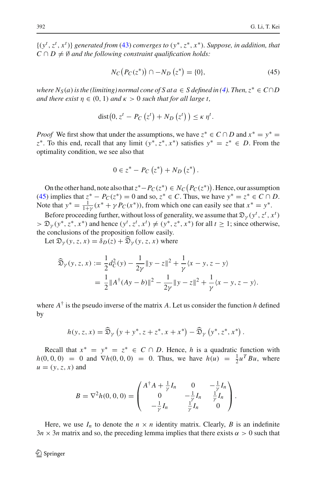{(*y<sup>t</sup>* ,*zt* , *x<sup>t</sup>* )} *generated from* [\(43\)](#page-18-1) *converges to* (*y*∗,*z*∗, *x*∗)*. Suppose, in addition, that*  $C \cap D \neq \emptyset$  *and the following constraint qualification holds:* 

$$
N_C(P_C(z^*)) \cap -N_D(z^*) = \{0\},\tag{45}
$$

<span id="page-21-0"></span>*where*  $N_S(a)$  *is the (limiting) normal cone of S at*  $a \in S$  *defined in [\(4\)](#page-4-2). Then,*  $z^* \in C \cap D$ *and there exist*  $\eta \in (0, 1)$  *and*  $\kappa > 0$  *such that for all large t,* 

$$
dist(0, zt - PC(zt) + ND(zt)) \leq \kappa \etat.
$$

*Proof* We first show that under the assumptions, we have  $z^* \in C \cap D$  and  $x^* = y^* = D$ *z*<sup>∗</sup>. To this end, recall that any limit  $(y^*, z^*, x^*)$  satisfies  $y^* = z^* \in D$ . From the optimality condition, we see also that

$$
0 \in z^* - P_C(z^*) + N_D(z^*).
$$

On the other hand, note also that  $z^*$ − $P_C(z^*)$  ∈  $N_C(P_C(z^*))$ . Hence, our assumption [\(45\)](#page-21-0) implies that  $z^* - P_C(z^*) = 0$  and so,  $z^* \in C$ . Thus, we have  $y^* = z^* \in C \cap D$ . Note that  $y^* = \frac{1}{1+y}(x^* + \gamma P_C(x^*))$ , from which one can easily see that  $x^* = y^*$ .

Before proceeding further, without loss of generality, we assume that  $\mathfrak{D}_{\gamma}(y^t, z^t, x^t)$  $> \mathfrak{D}_{\gamma}(y^*, z^*, x^*)$  and hence  $(y^t, z^t, x^t) \neq (y^*, z^*, x^*)$  for all  $t \geq 1$ ; since otherwise, the conclusions of the proposition follow easily.

Let  $\mathfrak{D}_{\gamma}(y, z, x) = \delta_D(z) + \widehat{\mathfrak{D}}_{\gamma}(y, z, x)$  where

$$
\widehat{\mathfrak{D}}_{\gamma}(y, z, x) := \frac{1}{2}d_{C}^{2}(y) - \frac{1}{2\gamma} \|y - z\|^{2} + \frac{1}{\gamma}\langle x - y, z - y \rangle
$$
  
= 
$$
\frac{1}{2} \|A^{\dagger}(Ay - b)\|^{2} - \frac{1}{2\gamma} \|y - z\|^{2} + \frac{1}{\gamma}\langle x - y, z - y \rangle.
$$

where  $A^{\dagger}$  is the pseudo inverse of the matrix *A*. Let us consider the function *h* defined by

$$
h(y, z, x) = \widehat{\mathfrak{D}}_{\gamma} \left( y + y^*, z + z^*, x + x^* \right) - \widehat{\mathfrak{D}}_{\gamma} \left( y^*, z^*, x^* \right).
$$

Recall that  $x^* = y^* = z^* \in C \cap D$ . Hence, *h* is a quadratic function with *h*(0, 0, 0) = 0 and  $\nabla h(0, 0, 0) = 0$ . Thus, we have  $h(u) = \frac{1}{2}u^T Bu$ , where  $u = (y, z, x)$  and

$$
B = \nabla^2 h(0, 0, 0) = \begin{pmatrix} A^{\dagger} A + \frac{1}{\gamma} I_n & 0 & -\frac{1}{\gamma} I_n \\ 0 & -\frac{1}{\gamma} I_n & \frac{1}{\gamma} I_n \\ -\frac{1}{\gamma} I_n & \frac{1}{\gamma} I_n & 0 \end{pmatrix}.
$$

Here, we use  $I_n$  to denote the  $n \times n$  identity matrix. Clearly, *B* is an indefinite  $3n \times 3n$  matrix and so, the preceding lemma implies that there exists  $\alpha > 0$  such that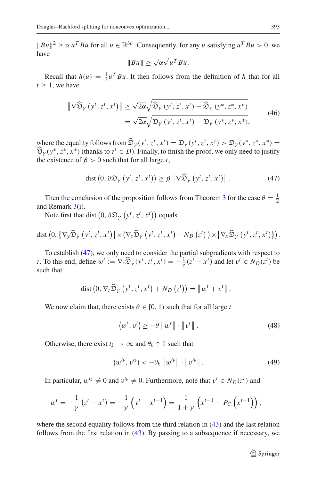$||Bu||^2 \geq \alpha u^T Bu$  for all  $u \in \mathbb{R}^{3n}$ . Consequently, for any *u* satisfying  $u^T Bu > 0$ , we have

$$
||Bu|| \ge \sqrt{\alpha} \sqrt{u^T Bu}.
$$

Recall that  $h(u) = \frac{1}{2}u^T B u$ . It then follows from the definition of *h* that for all  $t > 1$ , we have

$$
\|\nabla \widehat{\mathfrak{D}}_{\gamma}\left(y^{t}, z^{t}, x^{t}\right)\| \geq \sqrt{2\alpha} \sqrt{\widehat{\mathfrak{D}}_{\gamma}\left(y^{t}, z^{t}, x^{t}\right) - \widehat{\mathfrak{D}}_{\gamma}\left(y^{*}, z^{*}, x^{*}\right)}
$$
\n
$$
= \sqrt{2\alpha} \sqrt{\mathfrak{D}_{\gamma}\left(y^{t}, z^{t}, x^{t}\right) - \mathfrak{D}_{\gamma}\left(y^{*}, z^{*}, x^{*}\right)},
$$
\n(46)

where the equality follows from  $\widehat{\mathfrak{D}}_{\gamma}(y^{t}, z^{t}, x^{t}) = \mathfrak{D}_{\gamma}(y^{t}, z^{t}, x^{t}) > \mathfrak{D}_{\gamma}(y^{*}, z^{*}, x^{*}) =$ <br>  $\widehat{\mathfrak{D}}_{\gamma}(x^{*}, z^{*}, x^{*})$  (the plants to  $z^{t} \in \mathfrak{D}$ ). Finally, to finish the gross from subvanced to ins  $\widehat{\mathfrak{D}}_{\gamma}(y^*, z^*, x^*)$  (thanks to  $z^t \in D$ ). Finally, to finish the proof, we only need to justify the existence of  $\beta > 0$  such that for all large *t*,

$$
\text{dist}\left(0, \,\partial \mathfrak{D}_{\gamma}\left(y^{t}, z^{t}, x^{t}\right)\right) \geq \beta \left\|\nabla \widehat{\mathfrak{D}}_{\gamma}\left(y^{t}, z^{t}, x^{t}\right)\right\|.\tag{47}
$$

<span id="page-22-0"></span>Then the conclusion of the proposition follows from Theorem [3](#page-13-0) for the case  $\theta = \frac{1}{2}$ and Remark  $3(i)$  $3(i)$ .

Note first that dist  $(0, \partial \mathfrak{D}_{\gamma} (y^t, z^t, x^t))$  equals

dist 
$$
(0, \{\nabla_y \widehat{\mathfrak{D}}_\gamma (y^t, z^t, x^t)\}\times (\nabla_z \widehat{\mathfrak{D}}_\gamma (y^t, z^t, x^t) + N_D (z^t)) \times \{\nabla_x \widehat{\mathfrak{D}}_\gamma (y^t, z^t, x^t)\}\)
$$
.

To establish [\(47\)](#page-22-0), we only need to consider the partial subgradients with respect to *z*. To this end, define  $w^t := \nabla_z \widehat{\mathfrak{D}}_Y(y^t, z^t, x^t) = -\frac{1}{Y}(z^t - x^t)$  and let  $v^t \in N_D(z^t)$  be such that

$$
\operatorname{dist}\left(0, \nabla_z\widehat{\mathfrak{D}}_{\gamma}\left(y^t, z^t, x^t\right) + N_D\left(z^t\right)\right) = \left\|w^t + v^t\right\|.
$$

<span id="page-22-2"></span>We now claim that, there exists  $\theta \in [0, 1)$  such that for all large *t* 

$$
\langle w^t, v^t \rangle \ge -\theta \left\| w^t \right\| \cdot \left\| v^t \right\|.
$$
\n(48)

Otherwise, there exist  $t_k \to \infty$  and  $\theta_k \uparrow 1$  such that

$$
\langle w^{t_k}, v^{t_k} \rangle < -\theta_k \left\| w^{t_k} \right\| \cdot \left\| v^{t_k} \right\|.
$$
 (49)

<span id="page-22-1"></span>In particular,  $w^{t_k} \neq 0$  and  $v^{t_k} \neq 0$ . Furthermore, note that  $v^t \in N_D(z^t)$  and

$$
w^{t} = -\frac{1}{\gamma} (z^{t} - x^{t}) = -\frac{1}{\gamma} (y^{t} - x^{t-1}) = \frac{1}{1 + \gamma} (x^{t-1} - P_{C} (x^{t-1})),
$$

where the second equality follows from the third relation in [\(43\)](#page-18-1) and the last relation follows from the first relation in  $(43)$ . By passing to a subsequence if necessary, we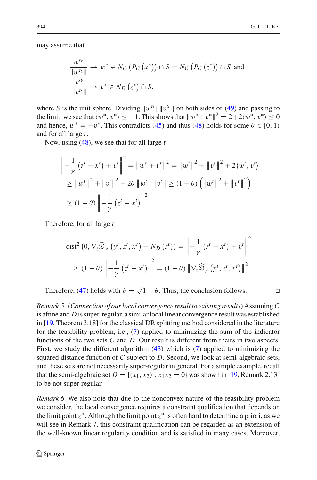may assume that

$$
\frac{w^{t_k}}{\|w^{t_k}\|} \to w^* \in N_C(P_C(x^*)) \cap S = N_C(P_C(z^*)) \cap S \text{ and}
$$
  

$$
\frac{v^{t_k}}{\|v^{t_k}\|} \to v^* \in N_D(z^*) \cap S,
$$

where *S* is the unit sphere. Dividing  $||w^{t_k}|| ||v^{t_k}||$  on both sides of [\(49\)](#page-22-1) and passing to the limit, we see that  $\langle w^*, v^* \rangle < -1$ . This shows that  $||w^*+v^*||^2 = 2+2\langle w^*, v^* \rangle < 0$ and hence,  $w^* = -v^*$ . This contradicts [\(45\)](#page-21-0) and thus [\(48\)](#page-22-2) holds for some  $\theta \in [0, 1)$ and for all large *t*.

Now, using [\(48\)](#page-22-2), we see that for all large *t*

$$
\begin{aligned}\n\left\| -\frac{1}{\gamma} \left( z^t - x^t \right) + v^t \right\|^2 &= \left\| w^t + v^t \right\|^2 = \left\| w^t \right\|^2 + \left\| v^t \right\|^2 + 2 \left\langle w^t, v^t \right\rangle \\
&\geq \left\| w^t \right\|^2 + \left\| v^t \right\|^2 - 2\theta \left\| w^t \right\| \left\| v^t \right\| \geq (1 - \theta) \left( \left\| w^t \right\|^2 + \left\| v^t \right\|^2 \right) \\
&\geq (1 - \theta) \left\| -\frac{1}{\gamma} \left( z^t - x^t \right) \right\|^2.\n\end{aligned}
$$

Therefore, for all large *t*

$$
\text{dist}^2\left(0, \nabla_z \widehat{\mathfrak{D}}_Y\left(y^t, z^t, x^t\right) + N_D\left(z^t\right)\right) = \left\| -\frac{1}{\gamma} \left(z^t - x^t\right) + v^t \right\|^2
$$
\n
$$
\geq (1 - \theta) \left\| -\frac{1}{\gamma} \left(z^t - x^t\right) \right\|^2 = (1 - \theta) \left\| \nabla_z \widehat{\mathfrak{D}}_Y\left(y^t, z^t, x^t\right) \right\|^2.
$$

Therefore, [\(47\)](#page-22-0) holds with  $\beta = \sqrt{1 - \theta}$ . Thus, the conclusion follows.

*Remark 5* (*Connection of our local convergence result to existing results*) Assuming*C* is affine and *D* is super-regular, a similar local linear convergence result was established in [\[19,](#page-29-10) Theorem 3.18] for the classical DR splitting method considered in the literature for the feasibility problem, i.e., [\(7\)](#page-5-4) applied to minimizing the sum of the indicator functions of the two sets *C* and *D*. Our result is different from theirs in two aspects. First, we study the different algorithm [\(43\)](#page-18-1) which is [\(7\)](#page-5-4) applied to minimizing the squared distance function of *C* subject to *D*. Second, we look at semi-algebraic sets, and these sets are not necessarily super-regular in general. For a simple example, recall that the semi-algebraic set  $D = \{(x_1, x_2) : x_1x_2 = 0\}$  was shown in [\[19,](#page-29-10) Remark 2.13] to be not super-regular.

*Remark 6* We also note that due to the nonconvex nature of the feasibility problem we consider, the local convergence requires a constraint qualification that depends on the limit point  $z^*$ . Although the limit point  $z^*$  is often hard to determine a priori, as we will see in Remark 7, this constraint qualification can be regarded as an extension of the well-known linear regularity condition and is satisfied in many cases. Moreover,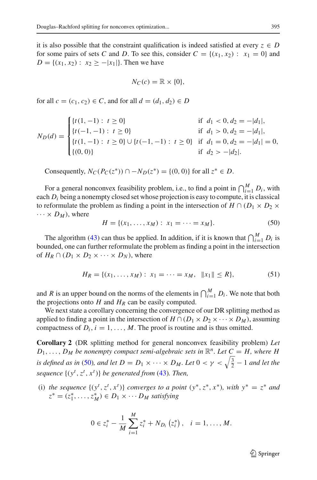it is also possible that the constraint qualification is indeed satisfied at every  $z \in D$ for some pairs of sets *C* and *D*. To see this, consider  $C = \{(x_1, x_2) : x_1 = 0\}$  and  $D = \{(x_1, x_2) : x_2 \geq -|x_1|\}.$  Then we have

$$
N_C(c) = \mathbb{R} \times \{0\},\
$$

for all  $c = (c_1, c_2) \in C$ , and for all  $d = (d_1, d_2) \in D$ 

$$
N_D(d) = \begin{cases} \{t(1, -1): t \ge 0\} & \text{if } d_1 < 0, d_2 = -|d_1|, \\ \{t(-1, -1): t \ge 0\} & \text{if } d_1 > 0, d_2 = -|d_1|, \\ \{t(1, -1): t \ge 0\} \cup \{t(-1, -1): t \ge 0\} & \text{if } d_1 = 0, d_2 = -|d_1| = 0, \\ \{(0, 0)\} & \text{if } d_2 > -|d_2|. \end{cases}
$$

Consequently,  $N_C(P_C(z^*))$  ∩ −  $N_D(z^*)$  = {(0, 0)} for all  $z^* \in D$ .

For a general nonconvex feasibility problem, i.e., to find a point in  $\bigcap_{i=1}^{M} D_i$ , with each *Di* being a nonempty closed set whose projection is easy to compute, it is classical to reformulate the problem as finding a point in the intersection of  $H \cap (D_1 \times D_2 \times D_1)$  $\cdots \times D_M$ ), where

$$
H = \{(x_1, \dots, x_M) : x_1 = \dots = x_M\}.
$$
 (50)

<span id="page-24-0"></span>The algorithm [\(43\)](#page-18-1) can thus be applied. In addition, if it is known that  $\bigcap_{i=1}^{M} D_i$  is bounded, one can further reformulate the problem as finding a point in the intersection of  $H_R \cap (D_1 \times D_2 \times \cdots \times D_N)$ , where

$$
H_R = \{(x_1, \dots, x_M) : x_1 = \dots = x_M, \|x_1\| \le R\},\tag{51}
$$

and *R* is an upper bound on the norms of the elements in  $\bigcap_{i=1}^{M} D_i$ . We note that both the projections onto  $H$  and  $H_R$  can be easily computed.

We next state a corollary concerning the convergence of our DR splitting method as applied to finding a point in the intersection of  $H \cap (D_1 \times D_2 \times \cdots \times D_M)$ , assuming compactness of  $D_i$ ,  $i = 1, \ldots, M$ . The proof is routine and is thus omitted.

**Corollary 2** (DR splitting method for general nonconvex feasibility problem) *Let*  $D_1, \ldots, D_M$  *be nonempty compact semi-algebraic sets in*  $\mathbb{R}^n$ *. Let*  $C = H$ *, where H is defined as in* [\(50\)](#page-24-0)*, and let*  $D = D_1 \times \cdots \times D_M$ *. Let*  $0 < \gamma < \sqrt{\frac{3}{2}} - 1$  *and let the sequence* {(*y<sup>t</sup>* ,*zt* , *x<sup>t</sup>* )} *be generated from* [\(43\)](#page-18-1)*. Then,*

(i) *the sequence*  $\{(y^t, z^t, x^t)\}$  *converges to a point*  $(y^*, z^*, x^*)$ *, with*  $y^* = z^*$  *and*  $z^* = (z_1^*, \ldots, z_M^*) \in D_1 \times \cdots D_M$  *satisfying* 

$$
0 \in z_i^* - \frac{1}{M} \sum_{i=1}^M z_i^* + N_{D_i} (z_i^*), \quad i = 1, \ldots, M.
$$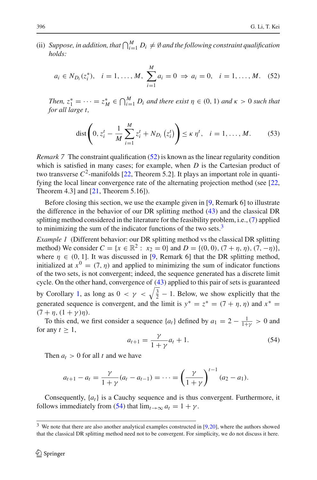<span id="page-25-0"></span>(ii) Suppose, in addition, that  $\bigcap_{i=1}^{M} D_i \neq \emptyset$  and the following constraint qualification *holds:*

$$
a_i \in N_{D_i}(z_i^*), \quad i = 1, ..., M, \sum_{i=1}^M a_i = 0 \Rightarrow a_i = 0, \quad i = 1, ..., M.
$$
 (52)

*Then,*  $z_1^* = \cdots = z_M^* \in \bigcap_{i=1}^M D_i$  *and there exist*  $\eta \in (0, 1)$  *and*  $\kappa > 0$  *such that for all large t,*

dist 
$$
\left(0, z_i^t - \frac{1}{M} \sum_{i=1}^M z_i^t + N_{D_i}(z_i^t)\right) \le \kappa \eta^t, \quad i = 1, ..., M.
$$
 (53)

*Remark 7* The constraint qualification [\(52\)](#page-25-0) is known as the linear regularity condition which is satisfied in many cases; for example, when *D* is the Cartesian product of two transverse  $C^2$ -manifolds  $[22,$  Theorem 5.2]. It plays an important role in quantifying the local linear convergence rate of the alternating projection method (see [\[22,](#page-29-24) Theorem 4.3] and [\[21,](#page-29-13) Theorem 5.16]).

Before closing this section, we use the example given in [\[9](#page-29-14), Remark 6] to illustrate the difference in the behavior of our DR splitting method [\(43\)](#page-18-1) and the classical DR splitting method considered in the literature for the feasibility problem, i.e., [\(7\)](#page-5-4) applied to minimizing the sum of the indicator functions of the two sets. $3$ 

*Example 1* (Different behavior: our DR splitting method vs the classical DR splitting method) We consider  $C = \{x \in \mathbb{R}^2 : x_2 = 0\}$  and  $D = \{(0, 0), (7 + \eta, \eta), (7, -\eta)\}$ , where  $\eta \in (0, 1]$ . It was discussed in [\[9,](#page-29-14) Remark 6] that the DR splitting method, initialized at  $x^0 = (7, \eta)$  and applied to minimizing the sum of indicator functions of the two sets, is not convergent; indeed, the sequence generated has a discrete limit cycle. On the other hand, convergence of [\(43\)](#page-18-1) applied to this pair of sets is guaranteed by Corollary [1,](#page-19-1) as long as  $0 < \gamma < \sqrt{\frac{3}{2}} - 1$ . Below, we show explicitly that the generated sequence is convergent, and the limit is  $y^* = z^* = (7 + \eta, \eta)$  and  $x^* =$  $(7 + \eta, (1 + \gamma)\eta).$ 

To this end, we first consider a sequence  $\{a_t\}$  defined by  $a_1 = 2 - \frac{1}{1+\gamma} > 0$  and for any  $t \geq 1$ ,

<span id="page-25-3"></span>
$$
a_{t+1} = \frac{\gamma}{1+\gamma}a_t + 1.
$$
 (54)

Then  $a_t > 0$  for all *t* and we have

<span id="page-25-2"></span>
$$
a_{t+1} - a_t = \frac{\gamma}{1+\gamma}(a_t - a_{t-1}) = \dots = \left(\frac{\gamma}{1+\gamma}\right)^{t-1}(a_2 - a_1).
$$

Consequently, {*at*} is a Cauchy sequence and is thus convergent. Furthermore, it follows immediately from [\(54\)](#page-25-2) that  $\lim_{t\to\infty} a_t = 1 + \gamma$ .

<span id="page-25-1"></span> $3$  We note that there are also another analytical examples constructed in [\[9](#page-29-14)[,20\]](#page-29-15), where the authors showed that the classical DR splitting method need not to be convergent. For simplicity, we do not discuss it here.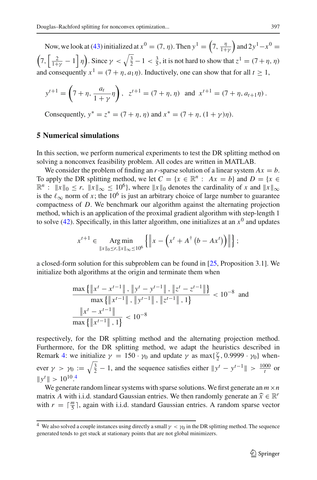Now, we look at [\(43\)](#page-18-1) initialized at  $x^0 = (7, \eta)$ . Then  $y^1 = \left(7, \frac{\eta}{1+\gamma}\right)$  $\int$  and 2*y*<sup>1</sup> − *x*<sup>0</sup> =  $\left(7, \left[\frac{2}{1+\gamma}-1\right]\eta\right)$ . Since  $\gamma < \sqrt{\frac{3}{2}}-1 < \frac{3}{5}$ , it is not hard to show that  $z^1 = (7+\eta, \eta)$ and consequently  $x^1 = (7 + \eta, a_1\eta)$ . Inductively, one can show that for all  $t > 1$ ,

$$
y^{t+1} = \left(7 + \eta, \frac{a_t}{1 + \gamma} \eta\right), \ \ z^{t+1} = (7 + \eta, \eta) \ \text{ and } \ x^{t+1} = (7 + \eta, a_{t+1} \eta).
$$

Consequently,  $y^* = z^* = (7 + \eta, \eta)$  and  $x^* = (7 + \eta, (1 + \gamma)\eta)$ .

## <span id="page-26-0"></span>**5 Numerical simulations**

In this section, we perform numerical experiments to test the DR splitting method on solving a nonconvex feasibility problem. All codes are written in MATLAB.

We consider the problem of finding an *r*-sparse solution of a linear system  $Ax = b$ . To apply the DR splitting method, we let  $C = \{x \in \mathbb{R}^n : Ax = b\}$  and  $D = \{x \in \mathbb{R}^n : B(x) = 0\}$  $\mathbb{R}^n$  :  $\|x\|_0 \le r$ ,  $\|x\|_{\infty} \le 10^6$ , where  $\|x\|_0$  denotes the cardinality of *x* and  $\|x\|_{\infty}$ is the  $\ell_{\infty}$  norm of *x*; the 10<sup>6</sup> is just an arbitrary choice of large number to guarantee compactness of *D*. We benchmark our algorithm against the alternating projection method, which is an application of the proximal gradient algorithm with step-length 1 to solve  $(42)$ . Specifically, in this latter algorithm, one initializes at an  $x<sup>0</sup>$  and updates

$$
x^{t+1} \in \underset{\|x\|_{0} \le r, \|x\|_{\infty} \le 10^{6}}{\operatorname{Arg min}} \left\{ \left\|x - \left(x^{t} + A^{\dagger} \left(b - Ax^{t}\right)\right)\right\| \right\};
$$

a closed-form solution for this subproblem can be found in [\[25,](#page-29-25) Proposition 3.1]. We initialize both algorithms at the origin and terminate them when

$$
\frac{\max\{\|x^{t} - x^{t-1}\|, \|y^{t} - y^{t-1}\|, \|z^{t} - z^{t-1}\|\}}{\max\{\|x^{t-1}\|, \|y^{t-1}\|, \|z^{t-1}\|, 1\}} < 10^{-8}
$$
 and  

$$
\frac{\|x^{t} - x^{t-1}\|}{\max\{\|x^{t-1}\|, 1\}} < 10^{-8}
$$

respectively, for the DR splitting method and the alternating projection method. Furthermore, for the DR splitting method, we adapt the heuristics described in Remark [4:](#page-19-2) we initialize  $\gamma = 150 \cdot \gamma_0$  and update  $\gamma$  as max $\{\frac{\gamma}{2}, 0.9999 \cdot \gamma_0\}$  whenever  $\gamma > \gamma_0 := \sqrt{\frac{3}{2}} - 1$ , and the sequence satisfies either  $\|y^t - y^{t-1}\| > \frac{1000}{t}$  or  $||y^t|| > 10^{10}$ .<sup>[4](#page-26-1)</sup>

We generate random linear systems with sparse solutions. We first generate an  $m \times n$ matrix *A* with i.i.d. standard Gaussian entries. We then randomly generate an  $\hat{x} \in \mathbb{R}^r$ with  $r = \lceil \frac{m}{5} \rceil$ , again with i.i.d. standard Gaussian entries. A random sparse vector

<span id="page-26-1"></span><sup>&</sup>lt;sup>4</sup> We also solved a couple instances using directly a small  $\gamma < \gamma_0$  in the DR splitting method. The sequence generated tends to get stuck at stationary points that are not global minimizers.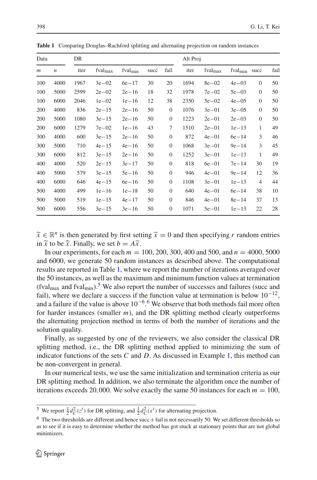<span id="page-27-0"></span>

| Data           |                  | DR   |                     |                     |      |                  | Alt Proj |              |                     |                |      |
|----------------|------------------|------|---------------------|---------------------|------|------------------|----------|--------------|---------------------|----------------|------|
| $\mathfrak{m}$ | $\boldsymbol{n}$ | iter | fval <sub>max</sub> | fval <sub>min</sub> | succ | fail             | iter     | $fval_{max}$ | fval <sub>min</sub> | succ           | fail |
| 100            | 4000             | 1967 | $3e - 02$           | $6e - 17$           | 30   | 20               | 1694     | $8e - 02$    | $4e - 03$           | $\theta$       | 50   |
| 100            | 5000             | 2599 | $2e - 02$           | $2e - 16$           | 18   | 32               | 1978     | $7e - 02$    | $5e-03$             | $\mathbf{0}$   | 50   |
| 100            | 6000             | 2046 | $1e - 02$           | $1e - 16$           | 12   | 38               | 2350     | $5e-02$      | $4e - 05$           | $\mathbf{0}$   | 50   |
| 200            | 4000             | 836  | $2e - 15$           | $2e - 16$           | 50   | $\mathbf{0}$     | 1076     | $3e-01$      | $3e - 05$           | $\mathbf{0}$   | 50   |
| 200            | 5000             | 1080 | $3e - 15$           | $2e - 16$           | 50   | $\mathbf{0}$     | 1223     | $2e - 01$    | $2e - 03$           | $\theta$       | 50   |
| 200            | 6000             | 1279 | $7e - 02$           | $1e-16$             | 43   | 7                | 1510     | $2e - 01$    | $1e-13$             | 1              | 49   |
| 300            | 4000             | 600  | $3e - 15$           | $2e - 16$           | 50   | $\mathbf{0}$     | 872      | $4e - 01$    | $6e - 14$           | 3              | 46   |
| 300            | 5000             | 710  | $4e - 15$           | $4e - 16$           | 50   | $\mathbf{0}$     | 1068     | $3e-01$      | $9e - 14$           | 3              | 45   |
| 300            | 6000             | 812  | $3e - 15$           | $2e - 16$           | 50   | $\mathbf{0}$     | 1252     | $3e - 01$    | $1e-13$             | 1              | 49   |
| 400            | 4000             | 520  | $2e - 15$           | $3e - 17$           | 50   | $\overline{0}$   | 818      | $6e-01$      | $7e-14$             | 30             | 19   |
| 400            | 5000             | 579  | $3e - 15$           | $5e-16$             | 50   | $\mathbf{0}$     | 946      | $4e - 01$    | $9e - 14$           | 12             | 36   |
| 400            | 6000             | 646  | $4e - 15$           | $6e - 16$           | 50   | $\mathbf{0}$     | 1108     | $3e-01$      | $1e-13$             | $\overline{4}$ | 44   |
| 500            | 4000             | 499  | $1e-16$             | $1e-18$             | 50   | $\boldsymbol{0}$ | 640      | $4e - 01$    | $6e - 14$           | 38             | 10   |
|                |                  |      |                     |                     |      |                  |          |              |                     |                |      |

**Table 1** Comparing Douglas–Rachford splitting and alternating projection on random instances

 $\tilde{x} \in \mathbb{R}^n$  is then generated by first setting  $\tilde{x} = 0$  and then specifying *r* random entries in  $\tilde{x}$  to be  $\hat{x}$ . Finally, we set  $b = A\tilde{x}$ .

500 5000 519 1e−15 4e−17 50 0 846 4e−01 8e−14 37 13 500 6000 556 3e−15 3e−16 50 0 1071 5e−01 1e−13 22 28

In our experiments, for each *m* = 100, 200, 300, 400 and 500, and *n* = 4000, 5000 and 6000, we generate 50 random instances as described above. The computational results are reported in Table [1,](#page-27-0) where we report the number of iterations averaged over the 50 instances, as well as the maximum and minimum function values at termination (fval<sub>max</sub> and fval<sub>min</sub>).<sup>[5](#page-27-1)</sup> We also report the number of successes and failures (succ and fail), where we declare a success if the function value at termination is below  $10^{-12}$ , and a failure if the value is above  $10^{-6}$  $10^{-6}$  $10^{-6}$ .<sup>6</sup> We observe that both methods fail more often for harder instances (smaller *m*), and the DR splitting method clearly outperforms the alternating projection method in terms of both the number of iterations and the solution quality.

Finally, as suggested by one of the reviewers, we also consider the classical DR splitting method, i.e., the DR splitting method applied to minimizing the sum of indicator functions of the sets *C* and *D*. As discussed in Example [1,](#page-25-3) this method can be non-convergent in general.

In our numerical tests, we use the same initialization and termination criteria as our DR splitting method. In addition, we also terminate the algorithm once the number of iterations exceeds 20,000. We solve exactly the same 50 instances for each  $m = 100$ ,

<sup>&</sup>lt;sup>5</sup> We report  $\frac{1}{2}d_C^2(z^t)$  for DR splitting, and  $\frac{1}{2}d_C^2(x^t)$  for alternating projection.

<span id="page-27-2"></span><span id="page-27-1"></span> $6$  The two thresholds are different and hence succ  $+$  fail is not necessarily 50. We set different thresholds so as to see if it is easy to determine whether the method has got stuck at stationary points that are not global minimizers.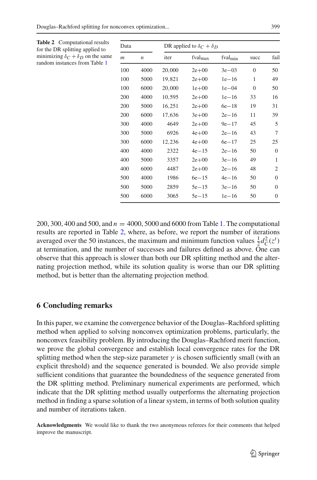| omputational results<br>splitting applied to             | Data             |                  | DR applied to $\delta_C + \delta_D$ |              |                     |                |                |  |
|----------------------------------------------------------|------------------|------------------|-------------------------------------|--------------|---------------------|----------------|----------------|--|
| $\delta_C + \delta_D$ on the same<br>tances from Table 1 | $\boldsymbol{m}$ | $\boldsymbol{n}$ | iter                                | $fval_{max}$ | fval <sub>min</sub> | succ           | fail           |  |
|                                                          | 100              | 4000             | 20,000                              | $2e+00$      | $3e-03$             | $\overline{0}$ | 50             |  |
|                                                          | 100              | 5000             | 19,821                              | $2e+00$      | $1e-16$             | 1              | 49             |  |
|                                                          | 100              | 6000             | 20,000                              | $1e+00$      | $1e - 04$           | $\theta$       | 50             |  |
|                                                          | 200              | 4000             | 10,595                              | $2e+00$      | $1e-16$             | 33             | 16             |  |
|                                                          | 200              | 5000             | 16,251                              | $2e+00$      | $6e - 18$           | 19             | 31             |  |
|                                                          | 200              | 6000             | 17,636                              | $3e + 00$    | $2e - 16$           | 11             | 39             |  |
|                                                          | 300              | 4000             | 4649                                | $2e+00$      | $9e - 17$           | 45             | 5              |  |
|                                                          | 300              | 5000             | 6926                                | $4e + 00$    | $2e - 16$           | 43             | 7              |  |
|                                                          | 300              | 6000             | 12,236                              | $4e + 00$    | $6e - 17$           | 25             | 25             |  |
|                                                          | 400              | 4000             | 2322                                | $4e - 15$    | $2e - 16$           | 50             | $\mathbf{0}$   |  |
|                                                          | 400              | 5000             | 3357                                | $2e+00$      | $3e - 16$           | 49             | 1              |  |
|                                                          | 400              | 6000             | 4487                                | $2e + 00$    | $2e - 16$           | 48             | $\overline{2}$ |  |
|                                                          | 500              | 4000             | 1986                                | $6e - 15$    | $4e - 16$           | 50             | $\mathbf{0}$   |  |
|                                                          | 500              | 5000             | 2859                                | $5e-15$      | $3e - 16$           | 50             | $\overline{0}$ |  |
|                                                          | 500              | 6000             | 3065                                | $5e-15$      | $1e - 16$           | 50             | $\overline{0}$ |  |
|                                                          |                  |                  |                                     |              |                     |                |                |  |

<span id="page-28-1"></span>**Table 2** Co for the DR minimizing δ*<sup>C</sup>* +δ*<sup>D</sup>* on the same random inst

200, 300, 400 and 500, and *n* = 4000, 5000 and 6000 from Table [1.](#page-27-0) The computational results are reported in Table [2,](#page-28-1) where, as before, we report the number of iterations averaged over the 50 instances, the maximum and minimum function values  $\frac{1}{2}d_C^2(z^t)$ at termination, and the number of successes and failures defined as above. One can observe that this approach is slower than both our DR splitting method and the alternating projection method, while its solution quality is worse than our DR splitting method, but is better than the alternating projection method.

# <span id="page-28-0"></span>**6 Concluding remarks**

In this paper, we examine the convergence behavior of the Douglas–Rachford splitting method when applied to solving nonconvex optimization problems, particularly, the nonconvex feasibility problem. By introducing the Douglas–Rachford merit function, we prove the global convergence and establish local convergence rates for the DR splitting method when the step-size parameter  $\gamma$  is chosen sufficiently small (with an explicit threshold) and the sequence generated is bounded. We also provide simple sufficient conditions that guarantee the boundedness of the sequence generated from the DR splitting method. Preliminary numerical experiments are performed, which indicate that the DR splitting method usually outperforms the alternating projection method in finding a sparse solution of a linear system, in terms of both solution quality and number of iterations taken.

**Acknowledgments** We would like to thank the two anonymous referees for their comments that helped improve the manuscript.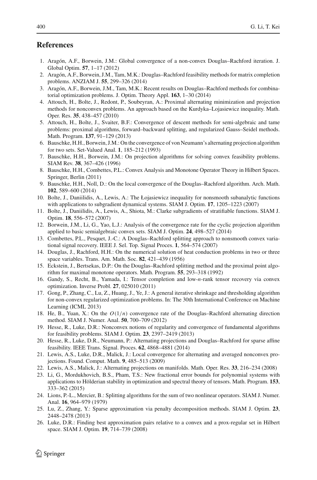# <span id="page-29-16"></span>**References**

- 1. Aragón, A.F., Borwein, J.M.: Global convergence of a non-convex Douglas–Rachford iteration. J. Global Optim. **57**, 1–17 (2012)
- <span id="page-29-8"></span>2. Aragón, A.F., Borwein, J.M., Tam, M.K.: Douglas–Rachford feasibility methods for matrix completion problems. ANZIAM J. **55**, 299–326 (2014)
- <span id="page-29-9"></span>3. Aragón, A.F., Borwein, J.M., Tam, M.K.: Recent results on Douglas–Rachford methods for combinatorial optimization problems. J. Optim. Theory Appl. **163**, 1–30 (2014)
- <span id="page-29-18"></span>4. Attouch, H., Bolte, J., Redont, P., Soubeyran, A.: Proximal alternating minimization and projection methods for nonconvex problems. An approach based on the Kurdyka–Lojasiewicz inequality. Math. Oper. Res. **35**, 438–457 (2010)
- <span id="page-29-19"></span>5. Attouch, H., Bolte, J., Svaiter, B.F.: Convergence of descent methods for semi-algebraic and tame problems: proximal algorithms, forward–backward splitting, and regularized Gauss–Seidel methods. Math. Program. **137**, 91–129 (2013)
- <span id="page-29-11"></span>6. Bauschke, H.H., Borwein, J.M.: On the convergence of von Neumann's alternating projection algorithm for two sets. Set-Valued Anal. **1**, 185–212 (1993)
- <span id="page-29-0"></span>7. Bauschke, H.H., Borwein, J.M.: On projection algorithms for solving convex feasibility problems. SIAM Rev. **38**, 367–426 (1996)
- <span id="page-29-1"></span>8. Bauschke, H.H., Combettes, P.L.: Convex Analysis and Monotone Operator Theory in Hilbert Spaces. Springer, Berlin (2011)
- <span id="page-29-14"></span>9. Bauschke, H.H., Noll, D.: On the local convergence of the Douglas–Rachford algorithm. Arch. Math. **102**, 589–600 (2014)
- <span id="page-29-20"></span>10. Bolte, J., Daniilidis, A., Lewis, A.: The Łojasiewicz inequality for nonsmooth subanalytic functions with applications to subgradient dynamical systems. SIAM J. Optim. **17**, 1205–1223 (2007)
- <span id="page-29-21"></span>11. Bolte, J., Daniilidis, A., Lewis, A., Shiota, M.: Clarke subgradients of stratifiable functions. SIAM J. Optim. **18**, 556–572 (2007)
- <span id="page-29-12"></span>12. Borwein, J.M., Li, G., Yao, L.J.: Analysis of the convergence rate for the cyclic projection algorithm applied to basic semialgebraic convex sets. SIAM J. Optim. **24**, 498–527 (2014)
- <span id="page-29-5"></span>13. Combettes, P.L., Pesquet, J.-C.: A Douglas–Rachford splitting approach to nonsmooth convex variational signal recovery. IEEE J. Sel. Top. Signal Proces. **1**, 564–574 (2007)
- <span id="page-29-2"></span>14. Douglas, J., Rachford, H.H.: On the numerical solution of heat conduction problems in two or three space variables. Trans. Am. Math. Soc. **82**, 421–439 (1956)
- <span id="page-29-4"></span>15. Eckstein, J., Bertsekas, D.P.: On the Douglas–Rachford splitting method and the proximal point algorithm for maximal monotone operators. Math. Program. **55**, 293–318 (1992)
- <span id="page-29-6"></span>16. Gandy, S., Recht, B., Yamada, I.: Tensor completion and low-*n*-rank tensor recovery via convex optimization. Inverse Probl. **27**, 025010 (2011)
- <span id="page-29-22"></span>17. Gong, P., Zhang, C., Lu, Z., Huang, J., Ye, J.: A general iterative shrinkage and thresholding algorithm for non-convex regularized optimization problems. In: The 30th International Conference on Machine Learning (ICML 2013)
- <span id="page-29-7"></span>18. He, B., Yuan, X.: On the *O*(1/*n*) convergence rate of the Douglas–Rachford alternating direction method. SIAM J. Numer. Anal. **50**, 700–709 (2012)
- <span id="page-29-10"></span>19. Hesse, R., Luke, D.R.: Nonconvex notions of regularity and convergence of fundamental algorithms for feasibility problems. SIAM J. Optim. **23**, 2397–2419 (2013)
- <span id="page-29-15"></span>20. Hesse, R., Luke, D.R., Neumann, P.: Alternating projections and Douglas–Rachford for sparse affine feasibility. IEEE Trans. Signal. Proces. **62**, 4868–4881 (2014)
- <span id="page-29-13"></span>21. Lewis, A.S., Luke, D.R., Malick, J.: Local convergence for alternating and averaged nonconvex projections. Found. Comput. Math. **9**, 485–513 (2009)
- <span id="page-29-24"></span>22. Lewis, A.S., Malick, J.: Alternating projections on manifolds. Math. Oper. Res. **33**, 216–234 (2008)
- <span id="page-29-23"></span>23. Li, G., Mordukhovich, B.S., Pham, T.S.: New fractional error bounds for polynomial systems with applications to Hölderian stability in optimization and spectral theory of tensors. Math. Program. **153**, 333–362 (2015)
- <span id="page-29-3"></span>24. Lions, P.-L., Mercier, B.: Splitting algorithms for the sum of two nonlinear operators. SIAM J. Numer. Anal. **16**, 964–979 (1979)
- <span id="page-29-25"></span>25. Lu, Z., Zhang, Y.: Sparse approximation via penalty decomposition methods. SIAM J. Optim. **23**, 2448–2478 (2013)
- <span id="page-29-17"></span>26. Luke, D.R.: Finding best approximation pairs relative to a convex and a prox-regular set in Hilbert space. SIAM J. Optim. **19**, 714–739 (2008)